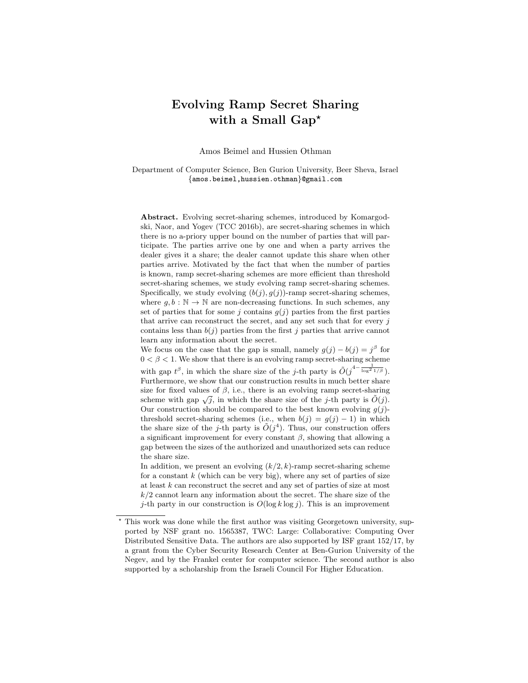# Evolving Ramp Secret Sharing with a Small  $Gap^{\star}$

Amos Beimel and Hussien Othman

Department of Computer Science, Ben Gurion University, Beer Sheva, Israel {amos.beimel,hussien.othman}@gmail.com

Abstract. Evolving secret-sharing schemes, introduced by Komargodski, Naor, and Yogev (TCC 2016b), are secret-sharing schemes in which there is no a-priory upper bound on the number of parties that will participate. The parties arrive one by one and when a party arrives the dealer gives it a share; the dealer cannot update this share when other parties arrive. Motivated by the fact that when the number of parties is known, ramp secret-sharing schemes are more efficient than threshold secret-sharing schemes, we study evolving ramp secret-sharing schemes. Specifically, we study evolving  $(b(j), g(j))$ -ramp secret-sharing schemes, where  $g, b : \mathbb{N} \to \mathbb{N}$  are non-decreasing functions. In such schemes, any set of parties that for some j contains  $q(j)$  parties from the first parties that arrive can reconstruct the secret, and any set such that for every  $i$ contains less than  $b(j)$  parties from the first j parties that arrive cannot learn any information about the secret.

We focus on the case that the gap is small, namely  $g(j) - b(j) = j^{\beta}$  for  $0 < \beta < 1$ . We show that there is an evolving ramp secret-sharing scheme with gap  $t^{\beta}$ , in which the share size of the j-th party is  $\tilde{O}(j^{4-\frac{1}{\log^2 1/\beta}})$ . Furthermore, we show that our construction results in much better share size for fixed values of  $\beta$ , i.e., there is an evolving ramp secret-sharing size for fixed values of  $\rho$ , i.e., there is an evolving ramp secret-sharing scheme with gap  $\sqrt{j}$ , in which the share size of the j-th party is  $\tilde{O}(j)$ . Our construction should be compared to the best known evolving  $g(j)$ threshold secret-sharing schemes (i.e., when  $b(j) = q(j) - 1$ ) in which the share size of the j-th party is  $O(j^4)$ . Thus, our construction offers a significant improvement for every constant  $\beta$ , showing that allowing a gap between the sizes of the authorized and unauthorized sets can reduce the share size.

In addition, we present an evolving  $(k/2, k)$ -ramp secret-sharing scheme for a constant  $k$  (which can be very big), where any set of parties of size at least k can reconstruct the secret and any set of parties of size at most  $k/2$  cannot learn any information about the secret. The share size of the j-th party in our construction is  $O(\log k \log j)$ . This is an improvement

<sup>?</sup> This work was done while the first author was visiting Georgetown university, supported by NSF grant no. 1565387, TWC: Large: Collaborative: Computing Over Distributed Sensitive Data. The authors are also supported by ISF grant 152/17, by a grant from the Cyber Security Research Center at Ben-Gurion University of the Negev, and by the Frankel center for computer science. The second author is also supported by a scholarship from the Israeli Council For Higher Education.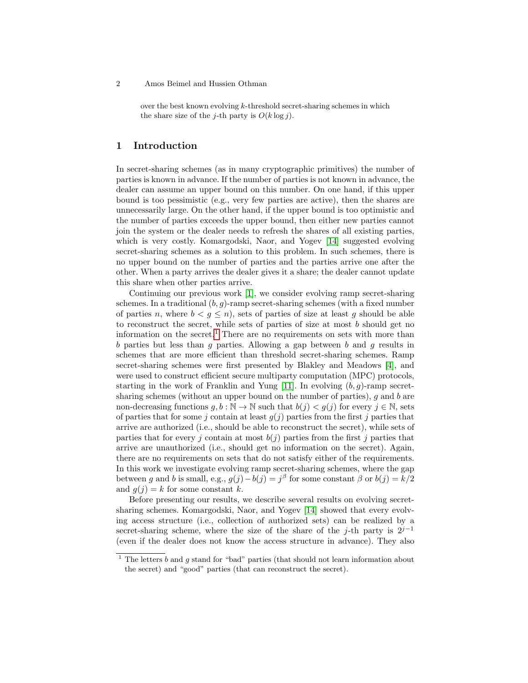over the best known evolving k-threshold secret-sharing schemes in which the share size of the *j*-th party is  $O(k \log i)$ .

# 1 Introduction

In secret-sharing schemes (as in many cryptographic primitives) the number of parties is known in advance. If the number of parties is not known in advance, the dealer can assume an upper bound on this number. On one hand, if this upper bound is too pessimistic (e.g., very few parties are active), then the shares are unnecessarily large. On the other hand, if the upper bound is too optimistic and the number of parties exceeds the upper bound, then either new parties cannot join the system or the dealer needs to refresh the shares of all existing parties, which is very costly. Komargodski, Naor, and Yogev [\[14\]](#page-26-0) suggested evolving secret-sharing schemes as a solution to this problem. In such schemes, there is no upper bound on the number of parties and the parties arrive one after the other. When a party arrives the dealer gives it a share; the dealer cannot update this share when other parties arrive.

Continuing our previous work [\[1\]](#page-25-0), we consider evolving ramp secret-sharing schemes. In a traditional  $(b, g)$ -ramp secret-sharing schemes (with a fixed number of parties n, where  $b < g \leq n$ , sets of parties of size at least g should be able to reconstruct the secret, while sets of parties of size at most  $b$  should get no information on the secret.<sup>[1](#page-1-0)</sup> There are no requirements on sets with more than b parties but less than  $g$  parties. Allowing a gap between  $b$  and  $g$  results in schemes that are more efficient than threshold secret-sharing schemes. Ramp secret-sharing schemes were first presented by Blakley and Meadows [\[4\]](#page-26-1), and were used to construct efficient secure multiparty computation (MPC) protocols, starting in the work of Franklin and Yung  $[11]$ . In evolving  $(b, q)$ -ramp secretsharing schemes (without an upper bound on the number of parties),  $q$  and  $b$  are non-decreasing functions  $g, b : \mathbb{N} \to \mathbb{N}$  such that  $b(j) < g(j)$  for every  $j \in \mathbb{N}$ , sets of parties that for some j contain at least  $g(j)$  parties from the first j parties that arrive are authorized (i.e., should be able to reconstruct the secret), while sets of parties that for every j contain at most  $b(j)$  parties from the first j parties that arrive are unauthorized (i.e., should get no information on the secret). Again, there are no requirements on sets that do not satisfy either of the requirements. In this work we investigate evolving ramp secret-sharing schemes, where the gap between g and b is small, e.g.,  $g(j) - b(j) = j^{\beta}$  for some constant  $\beta$  or  $b(j) = k/2$ and  $q(j) = k$  for some constant k.

Before presenting our results, we describe several results on evolving secretsharing schemes. Komargodski, Naor, and Yogev [\[14\]](#page-26-0) showed that every evolving access structure (i.e., collection of authorized sets) can be realized by a secret-sharing scheme, where the size of the share of the j-th party is  $2^{j-1}$ (even if the dealer does not know the access structure in advance). They also

<span id="page-1-0"></span><sup>&</sup>lt;sup>1</sup> The letters  $b$  and  $g$  stand for "bad" parties (that should not learn information about the secret) and "good" parties (that can reconstruct the secret).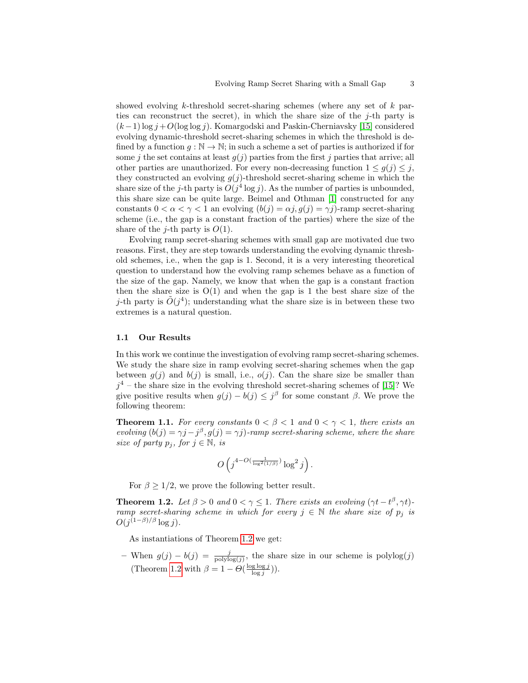showed evolving k-threshold secret-sharing schemes (where any set of  $k$  parties can reconstruct the secret), in which the share size of the  $j$ -th party is  $(k-1)$  log  $j + O(\log \log j)$ . Komargodski and Paskin-Cherniavsky [\[15\]](#page-26-3) considered evolving dynamic-threshold secret-sharing schemes in which the threshold is defined by a function  $g : \mathbb{N} \to \mathbb{N}$ ; in such a scheme a set of parties is authorized if for some j the set contains at least  $g(j)$  parties from the first j parties that arrive; all other parties are unauthorized. For every non-decreasing function  $1 \leq g(j) \leq j$ , they constructed an evolving  $g(j)$ -threshold secret-sharing scheme in which the share size of the j-th party is  $O(j^4 \log j)$ . As the number of parties is unbounded, this share size can be quite large. Beimel and Othman [\[1\]](#page-25-0) constructed for any constants  $0 < \alpha < \gamma < 1$  an evolving  $(b(j) = \alpha j, g(j) = \gamma j)$ -ramp secret-sharing scheme (i.e., the gap is a constant fraction of the parties) where the size of the share of the *j*-th party is  $O(1)$ .

Evolving ramp secret-sharing schemes with small gap are motivated due two reasons. First, they are step towards understanding the evolving dynamic threshold schemes, i.e., when the gap is 1. Second, it is a very interesting theoretical question to understand how the evolving ramp schemes behave as a function of the size of the gap. Namely, we know that when the gap is a constant fraction then the share size is  $O(1)$  and when the gap is 1 the best share size of the j-th party is  $\tilde{O}(j^4)$ ; understanding what the share size is in between these two extremes is a natural question.

## 1.1 Our Results

In this work we continue the investigation of evolving ramp secret-sharing schemes. We study the share size in ramp evolving secret-sharing schemes when the gap between  $g(j)$  and  $b(j)$  is small, i.e.,  $o(j)$ . Can the share size be smaller than  $j^4$  – the share size in the evolving threshold secret-sharing schemes of [\[15\]](#page-26-3)? We give positive results when  $g(j) - b(j) \leq j^{\beta}$  for some constant  $\beta$ . We prove the following theorem:

**Theorem 1.1.** For every constants  $0 < \beta < 1$  and  $0 < \gamma < 1$ , there exists an evolving  $(b(j) = \gamma j - j^{\beta}, g(j) = \gamma j)$ -ramp secret-sharing scheme, where the share size of party  $p_i$ , for  $j \in \mathbb{N}$ , is

<span id="page-2-1"></span><span id="page-2-0"></span>
$$
O\left(j^{4-O(\frac{1}{\log^2(1/\beta)})}\log^2 j\right).
$$

For  $\beta \geq 1/2$ , we prove the following better result.

**Theorem 1.2.** Let  $\beta > 0$  and  $0 < \gamma \le 1$ . There exists an evolving  $(\gamma t - t^{\beta}, \gamma t)$ ramp secret-sharing scheme in which for every  $j \in \mathbb{N}$  the share size of  $p_j$  is  $O(j^{(1-\beta)/\beta}\log j)$ .

As instantiations of Theorem [1.2](#page-2-0) we get:

– When  $g(j) - b(j) = \frac{j}{\text{polylog}(j)}$ , the share size in our scheme is  $\text{polylog}(j)$ (Theorem [1.2](#page-2-0) with  $\beta = 1 - \Theta(\frac{\log \log j}{\log j}))$ .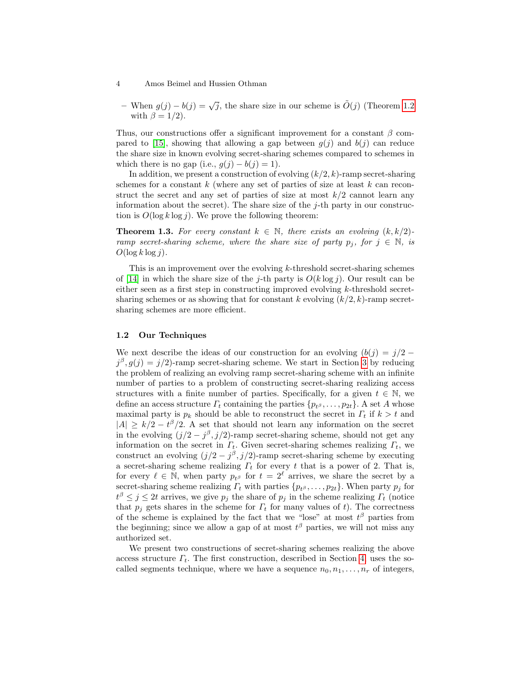- 4 Amos Beimel and Hussien Othman
	- When  $g(j) b(j) = \sqrt{j}$ , the share size in our scheme is  $\tilde{O}(j)$  (Theorem [1.2](#page-2-0)) with  $\beta = 1/2$ .

Thus, our constructions offer a significant improvement for a constant  $\beta$  com-pared to [\[15\]](#page-26-3), showing that allowing a gap between  $q(i)$  and  $b(i)$  can reduce the share size in known evolving secret-sharing schemes compared to schemes in which there is no gap (i.e.,  $g(j) - b(j) = 1$ ).

In addition, we present a construction of evolving  $(k/2, k)$ -ramp secret-sharing schemes for a constant  $k$  (where any set of parties of size at least  $k$  can reconstruct the secret and any set of parties of size at most  $k/2$  cannot learn any information about the secret). The share size of the  $j$ -th party in our construction is  $O(\log k \log j)$ . We prove the following theorem:

**Theorem 1.3.** For every constant  $k \in \mathbb{N}$ , there exists an evolving  $(k, k/2)$ ramp secret-sharing scheme, where the share size of party  $p_i$ , for  $j \in \mathbb{N}$ , is  $O(\log k \log j)$ .

This is an improvement over the evolving k-threshold secret-sharing schemes of [\[14\]](#page-26-0) in which the share size of the j-th party is  $O(k \log j)$ . Our result can be either seen as a first step in constructing improved evolving  $k$ -threshold secretsharing schemes or as showing that for constant k evolving  $(k/2, k)$ -ramp secretsharing schemes are more efficient.

## 1.2 Our Techniques

We next describe the ideas of our construction for an evolving  $(b(i) = i/2 - j)$  $j^{\beta}, g(j) = j/2$ -ramp secret-sharing scheme. We start in Section [3](#page-8-0) by reducing the problem of realizing an evolving ramp secret-sharing scheme with an infinite number of parties to a problem of constructing secret-sharing realizing access structures with a finite number of parties. Specifically, for a given  $t \in \mathbb{N}$ , we define an access structure  $\Gamma_t$  containing the parties  $\{p_{t^{\beta}}, \ldots, p_{2t}\}$ . A set A whose maximal party is  $p_k$  should be able to reconstruct the secret in  $\Gamma_t$  if  $k > t$  and  $|A| \ge k/2 - t^{\beta}/2$ . A set that should not learn any information on the secret in the evolving  $(j/2 - j^{\beta}, j/2)$ -ramp secret-sharing scheme, should not get any information on the secret in  $\Gamma_t$ . Given secret-sharing schemes realizing  $\Gamma_t$ , we construct an evolving  $(j/2 - j^{\beta}, j/2)$ -ramp secret-sharing scheme by executing a secret-sharing scheme realizing  $\Gamma_t$  for every t that is a power of 2. That is, for every  $\ell \in \mathbb{N}$ , when party  $p_{t\beta}$  for  $t = 2^{\ell}$  arrives, we share the secret by a secret-sharing scheme realizing  $\Gamma_t$  with parties  $\{p_{t^\beta}, \ldots, p_{2t}\}\$ . When party  $p_j$  for  $t^{\beta} \leq j \leq 2t$  arrives, we give  $p_j$  the share of  $p_j$  in the scheme realizing  $\Gamma_t$  (notice that  $p_i$  gets shares in the scheme for  $\Gamma_t$  for many values of t). The correctness of the scheme is explained by the fact that we "lose" at most  $t^{\beta}$  parties from the beginning; since we allow a gap of at most  $t^{\beta}$  parties, we will not miss any authorized set.

We present two constructions of secret-sharing schemes realizing the above access structure  $\Gamma_t$ . The first construction, described in Section [4,](#page-11-0) uses the socalled segments technique, where we have a sequence  $n_0, n_1, \ldots, n_r$  of integers,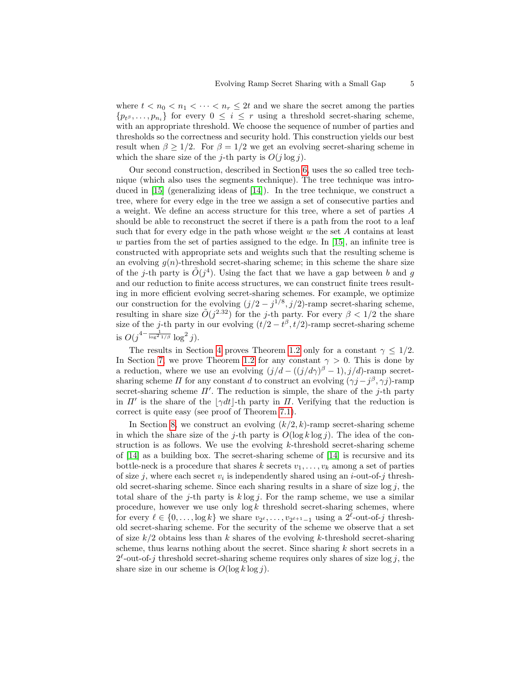where  $t < n_0 < n_1 < \cdots < n_r \leq 2t$  and we share the secret among the parties  ${p_{t}}^{\beta}, \ldots, p_{n_i}$  for every  $0 \leq i \leq r$  using a threshold secret-sharing scheme, with an appropriate threshold. We choose the sequence of number of parties and thresholds so the correctness and security hold. This construction yields our best result when  $\beta \geq 1/2$ . For  $\beta = 1/2$  we get an evolving secret-sharing scheme in which the share size of the j-th party is  $O(j \log j)$ .

Our second construction, described in Section [6,](#page-15-0) uses the so called tree technique (which also uses the segments technique). The tree technique was introduced in  $[15]$  (generalizing ideas of  $[14]$ ). In the tree technique, we construct a tree, where for every edge in the tree we assign a set of consecutive parties and a weight. We define an access structure for this tree, where a set of parties A should be able to reconstruct the secret if there is a path from the root to a leaf such that for every edge in the path whose weight  $w$  the set  $A$  contains at least  $w$  parties from the set of parties assigned to the edge. In [\[15\]](#page-26-3), an infinite tree is constructed with appropriate sets and weights such that the resulting scheme is an evolving  $g(n)$ -threshold secret-sharing scheme; in this scheme the share size of the j-th party is  $O(j^4)$ . Using the fact that we have a gap between b and g and our reduction to finite access structures, we can construct finite trees resulting in more efficient evolving secret-sharing schemes. For example, we optimize our construction for the evolving  $(j/2 - j^{1/8}, j/2)$ -ramp secret-sharing scheme, resulting in share size  $O(j^{2.32})$  for the j-th party. For every  $\beta < 1/2$  the share size of the j-th party in our evolving  $(t/2 - t^{\beta}, t/2)$ -ramp secret-sharing scheme is  $O(j^{4-\frac{1}{\log^2 1/\beta}} \log^2 j)$ .

The results in Section [4](#page-11-0) proves Theorem [1.2](#page-2-0) only for a constant  $\gamma \leq 1/2$ . In Section [7,](#page-21-0) we prove Theorem [1.2](#page-2-0) for any constant  $\gamma > 0$ . This is done by a reduction, where we use an evolving  $(j/d - ((j/d\gamma)^{\beta} - 1), j/d)$ -ramp secretsharing scheme  $\Pi$  for any constant d to construct an evolving  $(\gamma j - j^{\beta}, \gamma j)$ -ramp secret-sharing scheme  $\Pi'$ . The reduction is simple, the share of the j-th party in  $\Pi'$  is the share of the  $|\gamma dt|$ -th party in  $\Pi$ . Verifying that the reduction is correct is quite easy (see proof of Theorem [7.1\)](#page-21-1).

In Section [8,](#page-22-0) we construct an evolving  $(k/2, k)$ -ramp secret-sharing scheme in which the share size of the j-th party is  $O(\log k \log j)$ . The idea of the construction is as follows. We use the evolving  $k$ -threshold secret-sharing scheme of [\[14\]](#page-26-0) as a building box. The secret-sharing scheme of [\[14\]](#page-26-0) is recursive and its bottle-neck is a procedure that shares k secrets  $v_1, \ldots, v_k$  among a set of parties of size j, where each secret  $v_i$  is independently shared using an *i*-out-of-j threshold secret-sharing scheme. Since each sharing results in a share of size  $log j$ , the total share of the j-th party is  $k \log j$ . For the ramp scheme, we use a similar procedure, however we use only  $\log k$  threshold secret-sharing schemes, where for every  $\ell \in \{0, \ldots, \log k\}$  we share  $v_{2^{\ell}}, \ldots, v_{2^{\ell+1}-1}$  using a  $2^{\ell}$ -out-of-j threshold secret-sharing scheme. For the security of the scheme we observe that a set of size  $k/2$  obtains less than k shares of the evolving k-threshold secret-sharing scheme, thus learns nothing about the secret. Since sharing  $k$  short secrets in a  $2^{\ell}$ -out-of-j threshold secret-sharing scheme requires only shares of size log j, the share size in our scheme is  $O(\log k \log i)$ .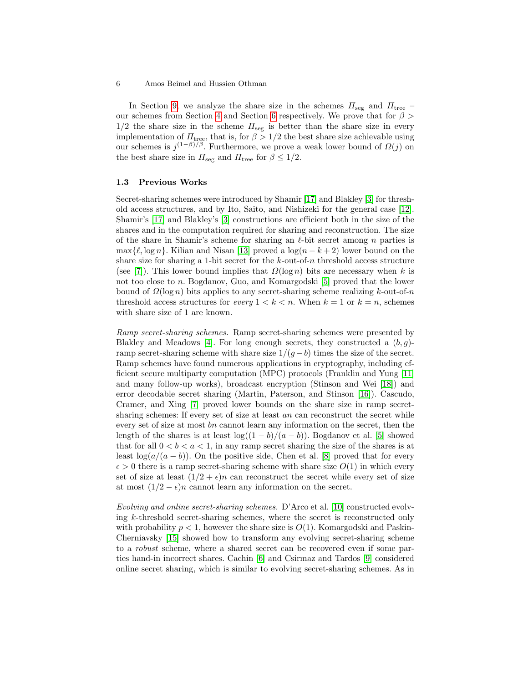In Section [9,](#page-24-0) we analyze the share size in the schemes  $\Pi_{\text{seg}}$  and  $\Pi_{\text{tree}}$ our schemes from Section [4](#page-11-0) and Section [6](#page-15-0) respectively. We prove that for  $\beta$  $1/2$  the share size in the scheme  $\Pi_{\text{seg}}$  is better than the share size in every implementation of  $\Pi_{\text{tree}}$ , that is, for  $\beta > 1/2$  the best share size achievable using our schemes is  $j^{(1-\beta)/\beta}$ . Furthermore, we prove a weak lower bound of  $\Omega(j)$  on the best share size in  $\Pi_{\text{seg}}$  and  $\Pi_{\text{tree}}$  for  $\beta \leq 1/2$ .

#### 1.3 Previous Works

Secret-sharing schemes were introduced by Shamir [\[17\]](#page-26-4) and Blakley [\[3\]](#page-26-5) for threshold access structures, and by Ito, Saito, and Nishizeki for the general case [\[12\]](#page-26-6). Shamir's [\[17\]](#page-26-4) and Blakley's [\[3\]](#page-26-5) constructions are efficient both in the size of the shares and in the computation required for sharing and reconstruction. The size of the share in Shamir's scheme for sharing an  $\ell$ -bit secret among n parties is max $\{\ell, \log n\}$ . Kilian and Nisan [\[13\]](#page-26-7) proved a  $\log(n - k + 2)$  lower bound on the share size for sharing a 1-bit secret for the  $k$ -out-of-n threshold access structure (see [\[7\]](#page-26-8)). This lower bound implies that  $\Omega(\log n)$  bits are necessary when k is not too close to n. Bogdanov, Guo, and Komargodski [\[5\]](#page-26-9) proved that the lower bound of  $\Omega(\log n)$  bits applies to any secret-sharing scheme realizing k-out-of-n threshold access structures for every  $1 < k < n$ . When  $k = 1$  or  $k = n$ , schemes with share size of 1 are known.

Ramp secret-sharing schemes. Ramp secret-sharing schemes were presented by Blakley and Meadows [\[4\]](#page-26-1). For long enough secrets, they constructed a  $(b, g)$ ramp secret-sharing scheme with share size  $1/(g - b)$  times the size of the secret. Ramp schemes have found numerous applications in cryptography, including efficient secure multiparty computation (MPC) protocols (Franklin and Yung [\[11\]](#page-26-2) and many follow-up works), broadcast encryption (Stinson and Wei [\[18\]](#page-26-10)) and error decodable secret sharing (Martin, Paterson, and Stinson [\[16\]](#page-26-11)). Cascudo, Cramer, and Xing [\[7\]](#page-26-8) proved lower bounds on the share size in ramp secretsharing schemes: If every set of size at least an can reconstruct the secret while every set of size at most bn cannot learn any information on the secret, then the length of the shares is at least  $\log((1 - b)/(a - b))$ . Bogdanov et al. [\[5\]](#page-26-9) showed that for all  $0 < b < a < 1$ , in any ramp secret sharing the size of the shares is at least  $log(a/(a - b))$ . On the positive side, Chen et al. [\[8\]](#page-26-12) proved that for every  $\epsilon > 0$  there is a ramp secret-sharing scheme with share size  $O(1)$  in which every set of size at least  $(1/2 + \epsilon)n$  can reconstruct the secret while every set of size at most  $(1/2 - \epsilon)n$  cannot learn any information on the secret.

Evolving and online secret-sharing schemes. D'Arco et al. [\[10\]](#page-26-13) constructed evolving k-threshold secret-sharing schemes, where the secret is reconstructed only with probability  $p < 1$ , however the share size is  $O(1)$ . Komargodski and Paskin-Cherniavsky [\[15\]](#page-26-3) showed how to transform any evolving secret-sharing scheme to a robust scheme, where a shared secret can be recovered even if some parties hand-in incorrect shares. Cachin [\[6\]](#page-26-14) and Csirmaz and Tardos [\[9\]](#page-26-15) considered online secret sharing, which is similar to evolving secret-sharing schemes. As in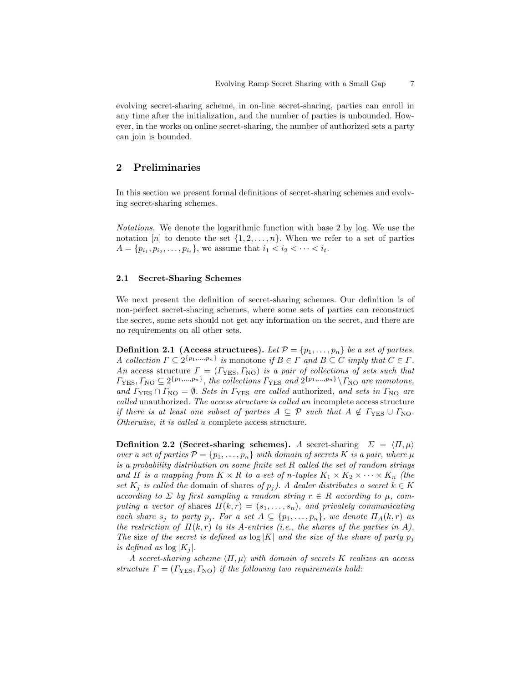evolving secret-sharing scheme, in on-line secret-sharing, parties can enroll in any time after the initialization, and the number of parties is unbounded. However, in the works on online secret-sharing, the number of authorized sets a party can join is bounded.

# 2 Preliminaries

In this section we present formal definitions of secret-sharing schemes and evolving secret-sharing schemes.

Notations. We denote the logarithmic function with base 2 by log. We use the notation  $[n]$  to denote the set  $\{1, 2, \ldots, n\}$ . When we refer to a set of parties  $A = \{p_{i_1}, p_{i_2}, \dots, p_{i_t}\}\,$ , we assume that  $i_1 < i_2 < \dots < i_t$ .

# 2.1 Secret-Sharing Schemes

We next present the definition of secret-sharing schemes. Our definition is of non-perfect secret-sharing schemes, where some sets of parties can reconstruct the secret, some sets should not get any information on the secret, and there are no requirements on all other sets.

<span id="page-6-0"></span>**Definition 2.1 (Access structures).** Let  $\mathcal{P} = \{p_1, \ldots, p_n\}$  be a set of parties. A collection  $\Gamma \subseteq 2^{\{p_1,...,p_n\}}$  is monotone if  $B \in \Gamma$  and  $B \subseteq C$  imply that  $C \in \Gamma$ . An access structure  $\Gamma = (\Gamma_{\text{YES}}, \Gamma_{\text{NO}})$  is a pair of collections of sets such that  $\Gamma_{\rm VES}, \Gamma_{\rm NO} \subseteq 2^{\{p_1,...,p_n\}}$ , the collections  $\Gamma_{\rm VES}$  and  $2^{\{p_1,...,p_n\}} \backslash \Gamma_{\rm NO}$  are monotone, and  $\Gamma_{\text{YES}} \cap \Gamma_{\text{NO}} = \emptyset$ . Sets in  $\Gamma_{\text{YES}}$  are called authorized, and sets in  $\Gamma_{\text{NO}}$  are called unauthorized. The access structure is called an incomplete access structure if there is at least one subset of parties  $A \subseteq \mathcal{P}$  such that  $A \notin \Gamma_{\text{YES}} \cup \Gamma_{\text{NO}}$ . Otherwise, it is called a complete access structure.

<span id="page-6-1"></span>Definition 2.2 (Secret-sharing schemes). A secret-sharing  $\Sigma = \langle \Pi, \mu \rangle$ over a set of parties  $\mathcal{P} = \{p_1, \ldots, p_n\}$  with domain of secrets K is a pair, where  $\mu$ is a probability distribution on some finite set R called the set of random strings and  $\Pi$  is a mapping from  $K \times R$  to a set of n-tuples  $K_1 \times K_2 \times \cdots \times K_n$  (the set  $K_j$  is called the domain of shares of  $p_j$ ). A dealer distributes a secret  $k \in K$ according to  $\Sigma$  by first sampling a random string  $r \in R$  according to  $\mu$ , computing a vector of shares  $\Pi(k,r) = (s_1, \ldots, s_n)$ , and privately communicating each share  $s_j$  to party  $p_j$ . For a set  $A \subseteq \{p_1, \ldots, p_n\}$ , we denote  $\Pi_A(k,r)$  as the restriction of  $\Pi(k, r)$  to its A-entries (i.e., the shares of the parties in A). The size of the secret is defined as  $\log |K|$  and the size of the share of party  $p_j$ is defined as  $\log |K_i|$ .

A secret-sharing scheme  $\langle \Pi, \mu \rangle$  with domain of secrets K realizes an access structure  $\Gamma = (\Gamma_{\text{YES}}, \Gamma_{\text{NO}})$  if the following two requirements hold: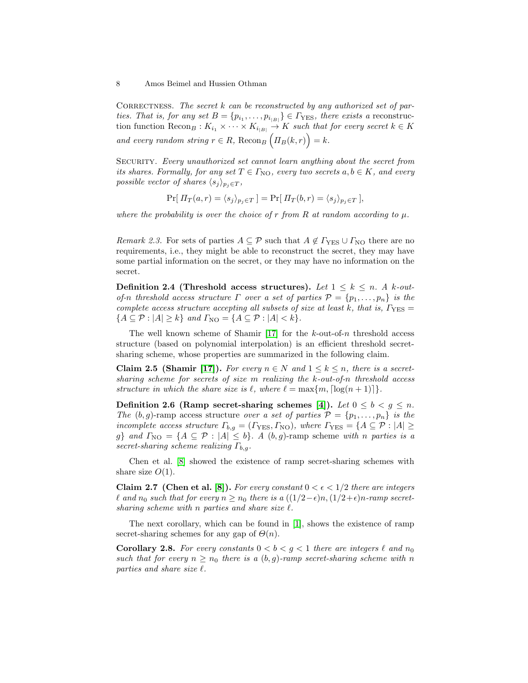CORRECTNESS. The secret  $k$  can be reconstructed by any authorized set of parties. That is, for any set  $B = \{p_{i_1}, \ldots, p_{i_{|B|}}\} \in \Gamma_{\text{YES}},$  there exists a reconstruction function  $\text{Recon}_B : K_{i_1} \times \cdots \times K_{i_{|B|}} \to K$  such that for every secret  $k \in K$ and every random string  $r \in R$ , Recon<sub>B</sub>  $\left(\Pi_B(k,r)\right) = k$ .

SECURITY. Every unauthorized set cannot learn anything about the secret from its shares. Formally, for any set  $T \in \Gamma_{\text{NO}}$ , every two secrets  $a, b \in K$ , and every possible vector of shares  $\langle s_j \rangle_{p_j \in T}$ ,

$$
\Pr[\Pi_T(a,r) = \langle s_j \rangle_{p_j \in T}] = \Pr[\Pi_T(b,r) = \langle s_j \rangle_{p_j \in T}],
$$

where the probability is over the choice of r from R at random according to  $\mu$ .

Remark 2.3. For sets of parties  $A \subseteq \mathcal{P}$  such that  $A \notin \Gamma_{\text{YES}} \cup \Gamma_{\text{NO}}$  there are no requirements, i.e., they might be able to reconstruct the secret, they may have some partial information on the secret, or they may have no information on the secret.

Definition 2.4 (Threshold access structures). Let  $1 \leq k \leq n$ . A k-outof-n threshold access structure  $\Gamma$  over a set of parties  $\mathcal{P} = \{p_1, \ldots, p_n\}$  is the complete access structure accepting all subsets of size at least k, that is,  $\Gamma_{\rm{YES}} =$  ${A \subseteq \mathcal{P} : |A| \ge k}$  and  $\Gamma_{\text{NO}} = {A \subseteq \mathcal{P} : |A| < k}.$ 

The well known scheme of Shamir [\[17\]](#page-26-4) for the  $k$ -out-of-n threshold access structure (based on polynomial interpolation) is an efficient threshold secretsharing scheme, whose properties are summarized in the following claim.

**Claim 2.5 (Shamir [\[17\]](#page-26-4)).** For every  $n \in N$  and  $1 \leq k \leq n$ , there is a secretsharing scheme for secrets of size m realizing the k-out-of-n threshold access structure in which the share size is  $\ell$ , where  $\ell = \max\{m, \lceil \log(n + 1) \rceil\}.$ 

Definition 2.6 (Ramp secret-sharing schemes [\[4\]](#page-26-1)). Let  $0 \leq b < g \leq n$ . The  $(b, g)$ -ramp access structure over a set of parties  $\mathcal{P} = \{p_1, \ldots, p_n\}$  is the incomplete access structure  $\Gamma_{b,g} = (\Gamma_{\text{YES}}, \Gamma_{\text{NO}})$ , where  $\Gamma_{\text{YES}} = \{A \subseteq \mathcal{P} : |A| \geq \Gamma_{\text{F}}\}$ g} and  $\Gamma_{\text{NO}} = \{A \subseteq \mathcal{P} : |A| \leq b\}$ . A  $(b, g)$ -ramp scheme with n parties is a secret-sharing scheme realizing  $\Gamma_{b,q}$ .

Chen et al. [\[8\]](#page-26-12) showed the existence of ramp secret-sharing schemes with share size  $O(1)$ .

Claim 2.7 (Chen et al. [\[8\]](#page-26-12)). For every constant  $0 < \epsilon < 1/2$  there are integers  $\ell$  and  $n_0$  such that for every  $n \geq n_0$  there is a  $((1/2-\epsilon)n,(1/2+\epsilon)n$ -ramp secretsharing scheme with n parties and share size  $\ell$ .

<span id="page-7-0"></span>The next corollary, which can be found in [\[1\]](#page-25-0), shows the existence of ramp secret-sharing schemes for any gap of  $\Theta(n)$ .

**Corollary 2.8.** For every constants  $0 < b < g < 1$  there are integers  $\ell$  and  $n_0$ such that for every  $n \geq n_0$  there is a  $(b, g)$ -ramp secret-sharing scheme with n parties and share size  $\ell$ .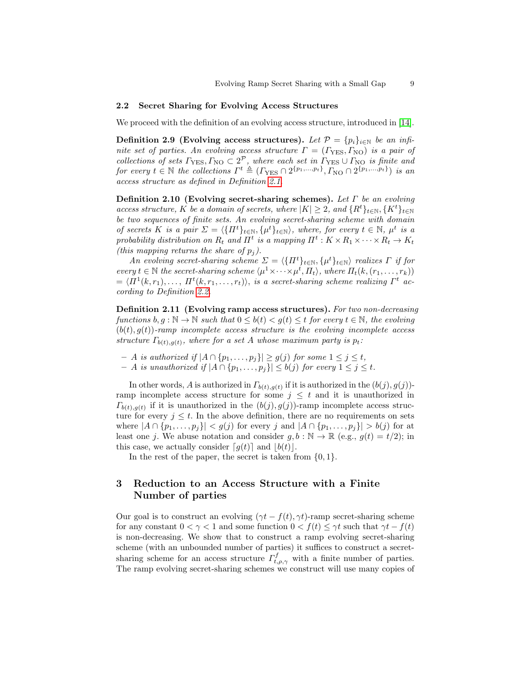#### 2.2 Secret Sharing for Evolving Access Structures

We proceed with the definition of an evolving access structure, introduced in [\[14\]](#page-26-0).

Definition 2.9 (Evolving access structures). Let  $\mathcal{P} = \{p_i\}_{i \in \mathbb{N}}$  be an infinite set of parties. An evolving access structure  $\Gamma = (\Gamma_{\text{YES}}, \Gamma_{\text{NO}})$  is a pair of collections of sets  $\Gamma_{\text{YES}}, \Gamma_{\text{NO}} \subset 2^{\mathcal{P}}$ , where each set in  $\Gamma_{\text{YES}} \cup \Gamma_{\text{NO}}$  is finite and for every  $t \in \mathbb{N}$  the collections  $\Gamma^t \triangleq (\Gamma_{\text{YES}} \cap 2^{\{p_1,\dots,p_t\}}, \Gamma_{\text{NO}} \cap 2^{\{p_1,\dots,p_t\}})$  is an access structure as defined in Definition [2.1.](#page-6-0)

Definition 2.10 (Evolving secret-sharing schemes). Let  $\Gamma$  be an evolving access structure, K be a domain of secrets, where  $|K| \geq 2$ , and  $\{R^t\}_{t\in\mathbb{N}}, \{K^t\}_{t\in\mathbb{N}}$ be two sequences of finite sets. An evolving secret-sharing scheme with domain of secrets K is a pair  $\Sigma = \langle \{\Pi^t\}_{t\in\mathbb{N}}, \{\mu^t\}_{t\in\mathbb{N}}\rangle$ , where, for every  $t \in \mathbb{N}$ ,  $\mu^t$  is a probability distribution on  $R_t$  and  $\Pi^t$  is a mapping  $\Pi^t: K \times R_1 \times \cdots \times R_t \to K_t$ (this mapping returns the share of  $p_j$ ).

An evolving secret-sharing scheme  $\Sigma = \langle \{ \Pi^t \}_{t \in \mathbb{N}}, \{ \mu^t \}_{t \in \mathbb{N}} \rangle$  realizes  $\Gamma$  if for every  $t \in \mathbb{N}$  the secret-sharing scheme  $\langle \mu^1 \times \cdots \times \mu^i, \Pi_t \rangle$ , where  $\Pi_t(k, (r_1, \ldots, r_k))$  $\mathcal{L} = \langle \Pi^1(k, r_1), \ldots, \Pi^t(k, r_1, \ldots, r_t) \rangle$ , is a secret-sharing scheme realizing  $\Gamma^t$  according to Definition [2.2.](#page-6-1)

Definition 2.11 (Evolving ramp access structures). For two non-decreasing functions  $b, g : \mathbb{N} \to \mathbb{N}$  such that  $0 \leq b(t) < g(t) \leq t$  for every  $t \in \mathbb{N}$ , the evolving  $(b(t), g(t))$ -ramp incomplete access structure is the evolving incomplete access structure  $\Gamma_{b(t),g(t)}$ , where for a set A whose maximum party is  $p_t$ :

- *− A is authorized if*  $|A \cap {p_1, \ldots, p_j}| \ge g(j)$  *for some*  $1 \le j \le t$ ,
- $A$  is unauthorized if  $|A ∩ {p_1, ..., p_j}| ≤ b(j)$  for every  $1 ≤ j ≤ t$ .

In other words, A is authorized in  $\Gamma_{b(t),g(t)}$  if it is authorized in the  $(b(j), g(j))$ ramp incomplete access structure for some  $j \leq t$  and it is unauthorized in  $\Gamma_{b(t),g(t)}$  if it is unauthorized in the  $(b(j), g(j))$ -ramp incomplete access structure for every  $j \leq t$ . In the above definition, there are no requirements on sets where  $|A \cap \{p_1, \ldots, p_j\}| < g(j)$  for every j and  $|A \cap \{p_1, \ldots, p_j\}| > b(j)$  for at least one j. We abuse notation and consider  $g, b : \mathbb{N} \to \mathbb{R}$  (e.g.,  $g(t) = t/2$ ); in this case, we actually consider  $\lceil g(t) \rceil$  and  $\lceil b(t) \rceil$ .

In the rest of the paper, the secret is taken from  $\{0, 1\}$ .

# <span id="page-8-0"></span>3 Reduction to an Access Structure with a Finite Number of parties

Our goal is to construct an evolving  $(\gamma t - f(t), \gamma t)$ -ramp secret-sharing scheme for any constant  $0 < \gamma < 1$  and some function  $0 < f(t) \leq \gamma t$  such that  $\gamma t - f(t)$ is non-decreasing. We show that to construct a ramp evolving secret-sharing scheme (with an unbounded number of parties) it suffices to construct a secretsharing scheme for an access structure  $\Gamma_{t,\rho,\gamma}^f$  with a finite number of parties. The ramp evolving secret-sharing schemes we construct will use many copies of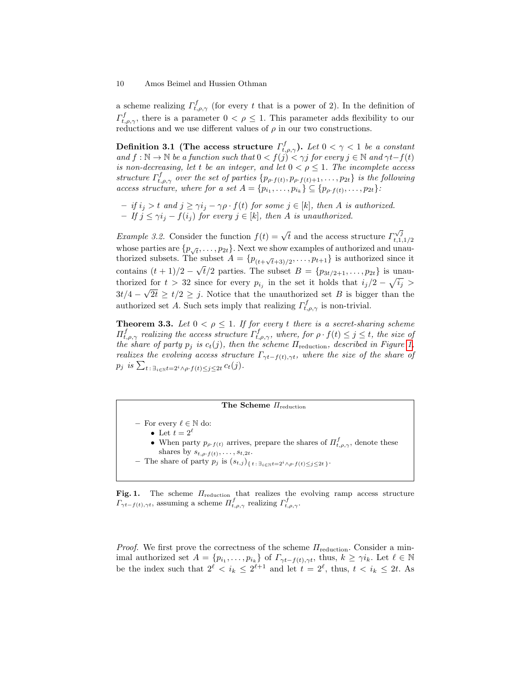a scheme realizing  $\Gamma_{t,\rho,\gamma}^f$  (for every t that is a power of 2). In the definition of  $\Gamma_{t,\rho,\gamma}^f$ , there is a parameter  $0 < \rho \leq 1$ . This parameter adds flexibility to our reductions and we use different values of  $\rho$  in our two constructions.

Definition 3.1 (The access structure  $\varGamma_{t,\rho,\gamma}^{f}$ ). Let  $0 < \gamma < 1$  be a constant and  $f : \mathbb{N} \to \mathbb{N}$  be a function such that  $0 < f(j) < \gamma j$  for every  $j \in \mathbb{N}$  and  $\gamma t - f(t)$ is non-decreasing, let t be an integer, and let  $0 < \rho \leq 1$ . The incomplete access structure  $\Gamma_{t,\rho,\gamma}^f$  over the set of parties  $\{p_{\rho f(t)}, p_{\rho f(t)+1}, \ldots, p_{2t}\}\;$  is the following access structure, where for a set  $A = \{p_{i_1}, \ldots, p_{i_k}\} \subseteq \{p_{\rho \cdot f(t)}, \ldots, p_{2t}\}$ :

 $-$  if  $i_j > t$  and  $j \geq \gamma i_j - \gamma \rho \cdot f(t)$  for some  $j \in [k]$ , then A is authorized.  $-If \, j \leq \gamma i_j - f(i_j)$  for every  $j \in [k]$ , then A is unauthorized.

*Example 3.2.* Consider the function  $f(t) = \sqrt{t}$  and the access structure  $\Gamma_{t-1}^{\sqrt{j}}$  $t, 1, 1/2$ whose parties are  $\{p_{\sqrt{t}}, \ldots, p_{2t}\}$ . Next we show examples of authorized and unauthorized subsets. The subset  $A = \{p_{(t+\sqrt{t}+3)/2}, \ldots, p_{t+1}\}\$  is authorized since it contains  $(t + 1)/2 - \sqrt{t}/2$  parties. The subset  $B = \{p_{3t/2+1}, \ldots, p_{2t}\}\$ is unauthorized for  $t > 32$  since for every  $p_{i_j}$  in the set it holds that  $i_j/2 - \sqrt{i_j} >$  $3t/4 - \sqrt{2t} \geq t/2 \geq j$ . Notice that the unauthorized set B is bigger than the authorized set A. Such sets imply that realizing  $\Gamma_{t,\rho,\gamma}^{f}$  is non-trivial.

<span id="page-9-1"></span>**Theorem 3.3.** Let  $0 < \rho \leq 1$ . If for every t there is a secret-sharing scheme  $\Pi_{t,\rho,\gamma}^f$  realizing the access structure  $\Gamma_{t,\rho,\gamma}^f$ , where, for  $\rho \cdot f(t) \leq j \leq t$ , the size of the share of party  $p_j$  is  $c_t(j)$ , then the scheme  $\Pi_{\text{reduction}}$ , described in Figure [1,](#page-9-0) realizes the evolving access structure  $\Gamma_{\gamma t-f(t),\gamma t}$ , where the size of the share of  $p_j$  is  $\sum_{t \,:\, \exists_{i \in \mathbb{N}} \,t = 2^i \wedge \rho \cdot f(t) \leq j \leq 2t} c_t(j)$ .

# The Scheme  $\Pi_{\text{reduction}}$

– For every  $\ell \in \mathbb{N}$  do:

• Let  $t = 2^{\ell}$ 

- When party  $p_{\rho f(t)}$  arrives, prepare the shares of  $\Pi_{t,\rho,\gamma}^f$ , denote these shares by  $s_{t,\rho \cdot f(t)}, \ldots, s_{t,2t}$ .
- The share of party  $p_j$  is  $(s_{t,j})_{\{t\,:\,\exists_{i\in\mathbb{N}}t=2^i \wedge \rho\cdot f(t)\leq j\leq 2t\,\}}$ .

<span id="page-9-0"></span>Fig. 1. The scheme  $\Pi_{\text{reduction}}$  that realizes the evolving ramp access structure  $\Gamma_{\gamma t-f(t),\gamma t}$ , assuming a scheme  $\Pi_{t,\rho,\gamma}^f$  realizing  $\Gamma_{t,\rho,\gamma}^f$ .

*Proof.* We first prove the correctness of the scheme  $\Pi_{\text{reduction}}$ . Consider a minimal authorized set  $A = \{p_{i_1}, \ldots, p_{i_k}\}$  of  $\Gamma_{\gamma t - f(t), \gamma t}$ , thus,  $k \geq \gamma i_k$ . Let  $\ell \in \mathbb{N}$ be the index such that  $2^{\ell} < i_k \leq 2^{\ell+1}$  and let  $t = 2^{\ell}$ , thus,  $t < i_k \leq 2t$ . As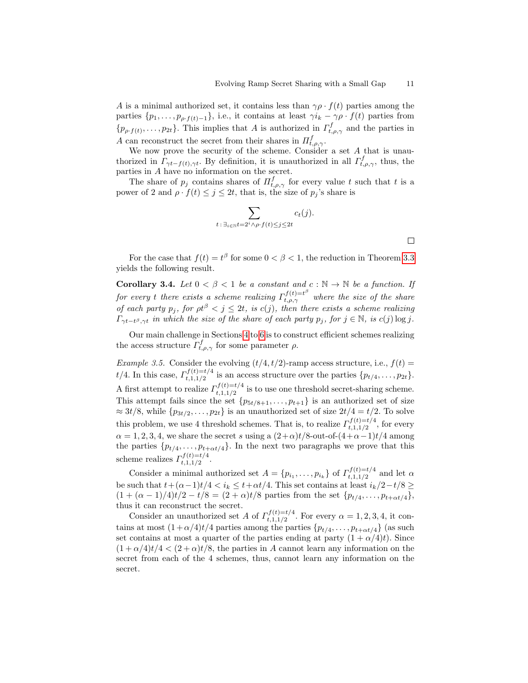A is a minimal authorized set, it contains less than  $\gamma \rho \cdot f(t)$  parties among the parties  $\{p_1, \ldots, p_{\rho \cdot f(t)-1}\}\)$ , i.e., it contains at least  $\gamma i_k - \gamma \rho \cdot f(t)$  parties from  $\{p_{\rho f(t)}, \ldots, p_{2t}\}.$  This implies that A is authorized in  $\Gamma_{t,\rho,\gamma}^f$  and the parties in A can reconstruct the secret from their shares in  $\Pi_{t,\rho,\gamma}^f$ .

We now prove the security of the scheme. Consider a set A that is unauthorized in  $\Gamma_{\gamma t-f(t),\gamma t}$ . By definition, it is unauthorized in all  $\Gamma_{t,\rho,\gamma}^{f}$ , thus, the parties in A have no information on the secret.

The share of  $p_j$  contains shares of  $\Pi_{t,\rho,\gamma}^f$  for every value t such that t is a power of 2 and  $\rho \cdot f(t) \leq j \leq 2t$ , that is, the size of  $p_j$ 's share is

<span id="page-10-1"></span>
$$
\sum_{t\,:\,\exists_{i\in\mathbb{N}}t=2^i\wedge\rho\cdot f(t)\leq j\leq 2t}c_t(j).
$$

For the case that  $f(t) = t^{\beta}$  for some  $0 < \beta < 1$ , the reduction in Theorem [3.3](#page-9-1) yields the following result.

Corollary 3.4. Let  $0 < \beta < 1$  be a constant and  $c : \mathbb{N} \to \mathbb{N}$  be a function. If for every t there exists a scheme realizing  $\Gamma_{t,\rho,\gamma}^{f(t)=t^{\beta}}$  where the size of the share of each party  $p_j$ , for  $\rho t^{\beta} < j \leq 2t$ , is  $c(j)$ , then there exists a scheme realizing  $\Gamma_{\gamma t-t^{\beta},\gamma t}$  in which the size of the share of each party  $p_j$ , for  $j \in \mathbb{N}$ , is  $c(j) \log j$ .

Our main challenge in Sections [4](#page-11-0) to [6](#page-15-0) is to construct efficient schemes realizing the access structure  $\tilde{I}_{t,\rho,\gamma}^{f}$  for some parameter  $\rho$ .

<span id="page-10-0"></span>Example 3.5. Consider the evolving  $(t/4, t/2)$ -ramp access structure, i.e.,  $f(t)$  =  $t/4$ . In this case,  $\Gamma_{t-1/2}^{f(t)=t/4}$  $t,1,1/2$  is an access structure over the parties  $\{p_{t/4}, \ldots, p_{2t}\}.$ A first attempt to realize  $\Gamma_{t+1/2}^{f(t)=t/4}$  $t,1,1/2$  is to use one threshold secret-sharing scheme. This attempt fails since the set  $\{p_{5t/8+1}, \ldots, p_{t+1}\}$  is an authorized set of size  $\approx 3t/8$ , while  $\{p_{3t/2}, \ldots, p_{2t}\}\$ is an unauthorized set of size  $2t/4 = t/2$ . To solve this problem, we use 4 threshold schemes. That is, to realize  $\Gamma_{t+1/2}^{f(t)=t/4}$  $t,1,1/2$ , for every  $\alpha = 1, 2, 3, 4$ , we share the secret s using a  $(2+\alpha)t/8$ -out-of- $(4+\alpha-1)t/4$  among the parties  $\{p_{t/4}, \ldots, p_{t+\alpha t/4}\}.$  In the next two paragraphs we prove that this scheme realizes  $\Gamma_{t+1/2}^{f(t)=t/4}$  $t, 1, 1/2$ 

Consider a minimal authorized set  $A = \{p_{i_1}, \ldots, p_{i_k}\}\$  of  $\Gamma_{t,1,1/2}^{f(t)=t/4}$  $t$ <sub>t</sub>,1,1/2<sup>t</sup> and let  $\alpha$ be such that  $t+(\alpha-1)t/4 < i_k \leq t+\alpha t/4$ . This set contains at least  $i_k/2-t/8 \geq$  $(1 + (\alpha - 1)/4)t/2 - t/8 = (2 + \alpha)t/8$  parties from the set  $\{p_{t/4}, \ldots, p_{t+\alpha t/4}\},\$ thus it can reconstruct the secret.

Consider an unauthorized set A of  $\Gamma_{t+1/2}^{f(t)=t/4}$  $t_{t,1,1/2}^{(t)=t/4}$ . For every  $\alpha = 1,2,3,4$ , it contains at most  $(1 + \alpha/4)t/4$  parties among the parties  $\{p_{t/4}, \ldots, p_{t+\alpha t/4}\}\$  (as such set contains at most a quarter of the parties ending at party  $(1 + \alpha/4)t$ . Since  $(1+\alpha/4)t/4 < (2+\alpha)t/8$ , the parties in A cannot learn any information on the secret from each of the 4 schemes, thus, cannot learn any information on the secret.

 $\Box$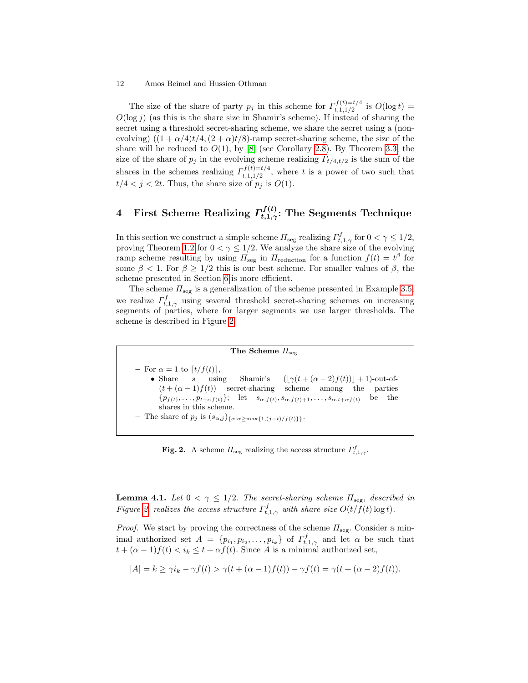The size of the share of party  $p_j$  in this scheme for  $\Gamma_{t+1}^{f(t)=t/4}$  $t,1,1/2$  is  $O(\log t) =$  $O(\log j)$  (as this is the share size in Shamir's scheme). If instead of sharing the secret using a threshold secret-sharing scheme, we share the secret using a (nonevolving)  $((1 + \alpha/4)t/4, (2 + \alpha)t/8)$ -ramp secret-sharing scheme, the size of the share will be reduced to  $O(1)$ , by [\[8\]](#page-26-12) (see Corollary [2.8\)](#page-7-0). By Theorem [3.3,](#page-9-1) the size of the share of  $p_j$  in the evolving scheme realizing  $\Gamma_{t/4,t/2}$  is the sum of the shares in the schemes realizing  $\Gamma_{t-1/2}^{f(t)=t/4}$  $t,1,1/2$ , where t is a power of two such that  $t/4 < j < 2t$ . Thus, the share size of  $p_i$  is  $O(1)$ .

# <span id="page-11-0"></span>4 First Scheme Realizing  $\varGamma_{t,1,\gamma}^{f(t)}$ : The Segments Technique

In this section we construct a simple scheme  $\Pi_{\text{seg}}$  realizing  $\Gamma_{t,1,\gamma}^f$  for  $0 < \gamma \leq 1/2$ , proving Theorem [1.2](#page-2-0) for  $0 < \gamma \leq 1/2$ . We analyze the share size of the evolving ramp scheme resulting by using  $\Pi_{\text{seg}}$  in  $\Pi_{\text{reduction}}$  for a function  $f(t) = t^{\beta}$  for some  $\beta$  < 1. For  $\beta \geq 1/2$  this is our best scheme. For smaller values of  $\beta$ , the scheme presented in Section [6](#page-15-0) is more efficient.

The scheme  $\Pi_{\text{seg}}$  is a generalization of the scheme presented in Example [3.5;](#page-10-0) we realize  $\Gamma_{t,1,\gamma}^f$  using several threshold secret-sharing schemes on increasing segments of parties, where for larger segments we use larger thresholds. The scheme is described in Figure [2.](#page-11-1)

# The Scheme  $\Pi_{\text{seg}}$

– For  $\alpha = 1$  to  $\lceil t/f(t) \rceil$ , • Share s using Shamir's  $(|\gamma(t + (\alpha - 2)f(t))| + 1)$ -out-of- $(t + (\alpha - 1)f(t))$  secret-sharing scheme among the parties  $\{p_{f(t)}, \ldots, p_{t+\alpha f(t)}\};$  let  $s_{\alpha,f(t)}, s_{\alpha,f(t)+1}, \ldots, s_{\alpha,t+\alpha f(t)}$  be the shares in this scheme. – The share of  $p_j$  is  $(s_{\alpha,j})_{\{\alpha:\alpha\geq \max\{1,(j-t)/f(t)\}\}}$ .

<span id="page-11-1"></span>**Fig. 2.** A scheme  $\Pi_{\text{seg}}$  realizing the access structure  $\Gamma_{t,1,\gamma}^f$ .

<span id="page-11-2"></span>**Lemma 4.1.** Let  $0 < \gamma \leq 1/2$ . The secret-sharing scheme  $\Pi_{\text{seg}}$ , described in Figure [2,](#page-11-1) realizes the access structure  $\Gamma_{t,1,\gamma}^f$  with share size  $O(t/f(t) \log t)$ .

*Proof.* We start by proving the correctness of the scheme  $\Pi_{\text{seg}}$ . Consider a minimal authorized set  $A = \{p_{i_1}, p_{i_2}, \ldots, p_{i_k}\}\$  of  $\Gamma^f_{t,1,\gamma}$  and let  $\alpha$  be such that  $t + (\alpha - 1)f(t) < i_k \leq t + \alpha f(t)$ . Since A is a minimal authorized set,

$$
|A| = k \ge \gamma i_k - \gamma f(t) > \gamma (t + (\alpha - 1)f(t)) - \gamma f(t) = \gamma (t + (\alpha - 2)f(t)).
$$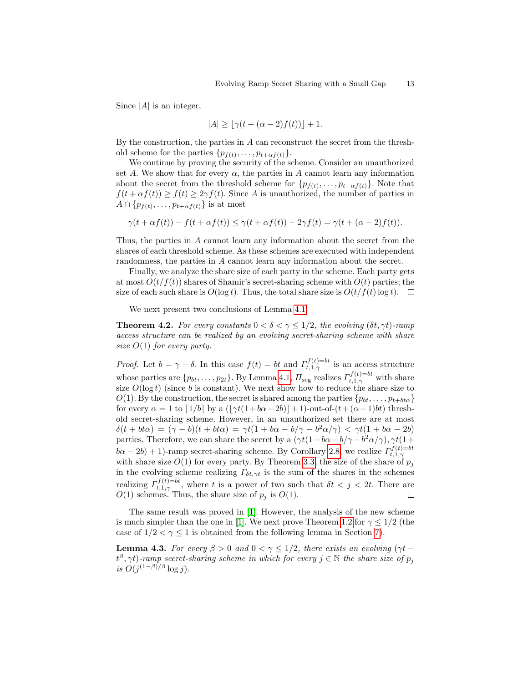Since  $|A|$  is an integer,

$$
|A| \ge |\gamma(t + (\alpha - 2)f(t))| + 1.
$$

By the construction, the parties in  $A$  can reconstruct the secret from the threshold scheme for the parties  $\{p_{f(t)}, \ldots, p_{t+\alpha f(t)}\}.$ 

We continue by proving the security of the scheme. Consider an unauthorized set A. We show that for every  $\alpha$ , the parties in A cannot learn any information about the secret from the threshold scheme for  $\{p_{f(t)}, \ldots, p_{t+\alpha f(t)}\}$ . Note that  $f(t + \alpha f(t)) \ge f(t) \ge 2\gamma f(t)$ . Since A is unauthorized, the number of parties in  $A \cap \{p_{f(t)}, \ldots, p_{t+\alpha f(t)}\}$  is at most

$$
\gamma(t + \alpha f(t)) - f(t + \alpha f(t)) \leq \gamma(t + \alpha f(t)) - 2\gamma f(t) = \gamma(t + (\alpha - 2)f(t)).
$$

Thus, the parties in A cannot learn any information about the secret from the shares of each threshold scheme. As these schemes are executed with independent randomness, the parties in A cannot learn any information about the secret.

Finally, we analyze the share size of each party in the scheme. Each party gets at most  $O(t/f(t))$  shares of Shamir's secret-sharing scheme with  $O(t)$  parties; the size of each such share is  $O(\log t)$ . Thus, the total share size is  $O(t/f(t) \log t)$ .  $\Box$ 

We next present two conclusions of Lemma [4.1.](#page-11-2)

**Theorem 4.2.** For every constants  $0 < \delta < \gamma < 1/2$ , the evolving  $(\delta t, \gamma t)$ -ramp access structure can be realized by an evolving secret-sharing scheme with share size  $O(1)$  for every party.

*Proof.* Let  $b = \gamma - \delta$ . In this case  $f(t) = bt$  and  $\Gamma_{t,1,\gamma}^{f(t)=bt}$  is an access structure whose parties are  $\{p_{bt}, \ldots, p_{2t}\}$ . By Lemma [4.1,](#page-11-2)  $\Pi_{\text{seg}}$  realizes  $\Gamma_{t,1,\gamma}^{f(t)=bt}$  with share size  $O(\log t)$  (since b is constant). We next show how to reduce the share size to  $O(1)$ . By the construction, the secret is shared among the parties  $\{p_{bt}, \ldots, p_{t+bt\alpha}\}\$ for every  $\alpha = 1$  to  $\lceil 1/b \rceil$  by a  $\left(\lceil \gamma t(1+b\alpha-2b) \rceil + 1\right)$ -out-of- $(t+(\alpha-1)bt)$  threshold secret-sharing scheme. However, in an unauthorized set there are at most  $\delta(t + bt\alpha) = (\gamma - b)(t + bt\alpha) = \gamma t(1 + b\alpha - b/\gamma - b^2\alpha/\gamma) < \gamma t(1 + b\alpha - 2b)$ parties. Therefore, we can share the secret by a  $(\gamma t(1+b\alpha-b/\gamma-b^2\alpha/\gamma), \gamma t(1+b\alpha-b/\gamma-b^2\alpha/\gamma))$  $b\alpha - 2b$ ) + 1)-ramp secret-sharing scheme. By Corollary [2.8,](#page-7-0) we realize  $\Gamma_{t,1,\gamma}^{f(t)=bt}$ with share size  $O(1)$  for every party. By Theorem [3.3,](#page-9-1) the size of the share of  $p_j$ in the evolving scheme realizing  $\Gamma_{\delta t,\gamma t}$  is the sum of the shares in the schemes realizing  $\Gamma^{f(t)=bt}_{t,1,\gamma}$ , where t is a power of two such that  $\delta t < j < 2t$ . There are  $O(1)$  schemes. Thus, the share size of  $p_j$  is  $O(1)$ .

<span id="page-12-0"></span>The same result was proved in [\[1\]](#page-25-0). However, the analysis of the new scheme is much simpler than the one in [\[1\]](#page-25-0). We next prove Theorem [1.2](#page-2-0) for  $\gamma \leq 1/2$  (the case of  $1/2 < \gamma \leq 1$  is obtained from the following lemma in Section [7\)](#page-21-0).

**Lemma 4.3.** For every  $\beta > 0$  and  $0 < \gamma < 1/2$ , there exists an evolving  $(\gamma t (t^{\beta}, \gamma t)$ -ramp secret-sharing scheme in which for every  $j \in \mathbb{N}$  the share size of  $p_j$ is  $O(j^{(1-\beta)/\beta}\log j)$ .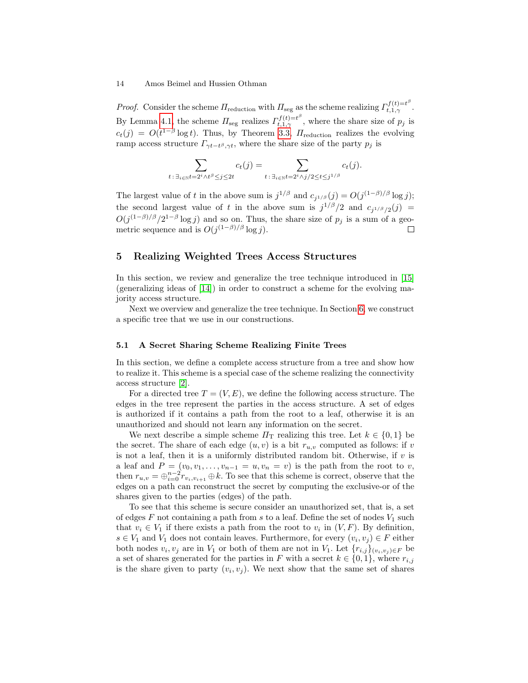*Proof.* Consider the scheme  $\Pi_{\text{reduction}}$  with  $\Pi_{\text{seg}}$  as the scheme realizing  $\Gamma_{t,1,\gamma}^{f(t)=t^{\beta}}$ . By Lemma [4.1,](#page-11-2) the scheme  $\Pi_{\text{seg}}$  realizes  $\Gamma_{t,1,\gamma}^{f(t)=t^{\beta}}$ , where the share size of  $p_j$  is  $c_t(j) = O(t^{1-\beta} \log t)$ . Thus, by Theorem [3.3,](#page-9-1)  $\pi_{\text{reduction}}$  realizes the evolving ramp access structure  $\Gamma_{\gamma t-t}$ <sup> $\beta$ </sup>, $\gamma t$ , where the share size of the party  $p_j$  is

$$
\sum_{t:\,\exists_{i\in\mathbb{N}}t=2^i\wedge t^\beta\leq j\leq 2t}c_t(j)=\sum_{t:\,\exists_{i\in\mathbb{N}}t=2^i\wedge j/2\leq t\leq j^{1/\beta}}c_t(j).
$$

The largest value of t in the above sum is  $j^{1/\beta}$  and  $c_{j^{1/\beta}}(j) = O(j^{(1-\beta)/\beta} \log j)$ ; the second largest value of t in the above sum is  $j^{1/\beta}/2$  and  $c_{j^{1/\beta}/2}(j)$  =  $O(j^{(1-\beta)/\beta}/2^{1-\beta}\log j)$  and so on. Thus, the share size of  $p_j$  is a sum of a geometric sequence and is  $O(j^{(1-\beta)/\beta} \log j)$ .

# <span id="page-13-1"></span>5 Realizing Weighted Trees Access Structures

In this section, we review and generalize the tree technique introduced in [\[15\]](#page-26-3) (generalizing ideas of [\[14\]](#page-26-0)) in order to construct a scheme for the evolving majority access structure.

Next we overview and generalize the tree technique. In Section [6,](#page-15-0) we construct a specific tree that we use in our constructions.

## <span id="page-13-0"></span>5.1 A Secret Sharing Scheme Realizing Finite Trees

In this section, we define a complete access structure from a tree and show how to realize it. This scheme is a special case of the scheme realizing the connectivity access structure [\[2\]](#page-26-16).

For a directed tree  $T = (V, E)$ , we define the following access structure. The edges in the tree represent the parties in the access structure. A set of edges is authorized if it contains a path from the root to a leaf, otherwise it is an unauthorized and should not learn any information on the secret.

We next describe a simple scheme  $\Pi_{\rm T}$  realizing this tree. Let  $k \in \{0,1\}$  be the secret. The share of each edge  $(u, v)$  is a bit  $r_{u, v}$  computed as follows: if  $v$ is not a leaf, then it is a uniformly distributed random bit. Otherwise, if  $v$  is a leaf and  $P = (v_0, v_1, \ldots, v_{n-1} = u, v_n = v)$  is the path from the root to v, then  $r_{u,v} = \bigoplus_{i=0}^{n-2} r_{v_i,v_{i+1}} \oplus k$ . To see that this scheme is correct, observe that the edges on a path can reconstruct the secret by computing the exclusive-or of the shares given to the parties (edges) of the path.

To see that this scheme is secure consider an unauthorized set, that is, a set of edges  $F$  not containing a path from  $s$  to a leaf. Define the set of nodes  $V_1$  such that  $v_i \in V_1$  if there exists a path from the root to  $v_i$  in  $(V, F)$ . By definition,  $s \in V_1$  and  $V_1$  does not contain leaves. Furthermore, for every  $(v_i, v_j) \in F$  either both nodes  $v_i, v_j$  are in  $V_1$  or both of them are not in  $V_1$ . Let  $\{r_{i,j}\}_{(v_i,v_j)\in F}$  be a set of shares generated for the parties in F with a secret  $k \in \{0,1\}$ , where  $r_{i,j}$ is the share given to party  $(v_i, v_j)$ . We next show that the same set of shares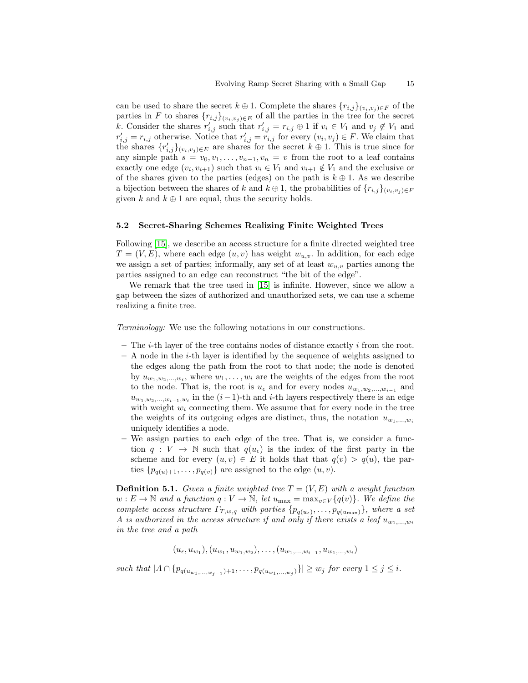can be used to share the secret  $k \oplus 1$ . Complete the shares  $\{r_{i,j}\}_{(v_i,v_j) \in F}$  of the parties in F to shares  $\{r_{i,j}\}_{(v_i,v_j) \in E}$  of all the parties in the tree for the secret k. Consider the shares  $r'_{i,j}$  such that  $r'_{i,j} = r_{i,j} \oplus 1$  if  $v_i \in V_1$  and  $v_j \notin V_1$  and  $r'_{i,j} = r_{i,j}$  otherwise. Notice that  $r'_{i,j} = r_{i,j}$  for every  $(v_i, v_j) \in F$ . We claim that the shares  $\{r'_{i,j}\}_{(v_i,v_j)\in E}$  are shares for the secret  $k\oplus 1$ . This is true since for any simple path  $s = v_0, v_1, \ldots, v_{n-1}, v_n = v$  from the root to a leaf contains exactly one edge  $(v_i, v_{i+1})$  such that  $v_i \in V_1$  and  $v_{i+1} \notin V_1$  and the exclusive or of the shares given to the parties (edges) on the path is  $k \oplus 1$ . As we describe a bijection between the shares of k and  $k \oplus 1$ , the probabilities of  ${r_{i,j}}_{(v_i,v_j) \in F}$ given k and  $k \oplus 1$  are equal, thus the security holds.

## 5.2 Secret-Sharing Schemes Realizing Finite Weighted Trees

Following [\[15\]](#page-26-3), we describe an access structure for a finite directed weighted tree  $T = (V, E)$ , where each edge  $(u, v)$  has weight  $w_{u,v}$ . In addition, for each edge we assign a set of parties; informally, any set of at least  $w_{u,v}$  parties among the parties assigned to an edge can reconstruct "the bit of the edge".

We remark that the tree used in [\[15\]](#page-26-3) is infinite. However, since we allow a gap between the sizes of authorized and unauthorized sets, we can use a scheme realizing a finite tree.

Terminology: We use the following notations in our constructions.

- $-$  The *i*-th layer of the tree contains nodes of distance exactly *i* from the root.
- $-$  A node in the *i*-th layer is identified by the sequence of weights assigned to the edges along the path from the root to that node; the node is denoted by  $u_{w_1, w_2, ..., w_i}$ , where  $w_1, ..., w_i$  are the weights of the edges from the root to the node. That is, the root is  $u_{\epsilon}$  and for every nodes  $u_{w_1,w_2,...,w_{i-1}}$  and  $u_{w_1, w_2,..., w_{i-1}, w_i}$  in the  $(i-1)$ -th and i-th layers respectively there is an edge with weight  $w_i$  connecting them. We assume that for every node in the tree the weights of its outgoing edges are distinct, thus, the notation  $u_{w_1,...,w_i}$ uniquely identifies a node.
- We assign parties to each edge of the tree. That is, we consider a function  $q: V \to \mathbb{N}$  such that  $q(u_{\epsilon})$  is the index of the first party in the scheme and for every  $(u, v) \in E$  it holds that that  $q(v) > q(u)$ , the parties  $\{p_{q(u)+1}, \ldots, p_{q(v)}\}$  are assigned to the edge  $(u, v)$ .

**Definition 5.1.** Given a finite weighted tree  $T = (V, E)$  with a weight function  $w: E \to \mathbb{N}$  and a function  $q: V \to \mathbb{N}$ , let  $u_{\text{max}} = \max_{v \in V} \{q(v)\}\)$ . We define the complete access structure  $\Gamma_{T,w,q}$  with parties  $\{p_{q(u_{\epsilon})}, \ldots, p_{q(u_{\max})}\}\}$ , where a set A is authorized in the access structure if and only if there exists a leaf  $u_{w_1,...,w_i}$ in the tree and a path

 $(u_{\epsilon}, u_{w_1}), (u_{w_1}, u_{w_1,w_2}), \ldots, (u_{w_1,\ldots,w_{i-1}}, u_{w_1,\ldots,w_i})$ 

such that  $|A \cap \{p_{q(u_{w_1},...,w_{j-1})+1},\ldots,p_{q(u_{w_1},...,w_j)}\}| \geq w_j$  for every  $1 \leq j \leq i$ .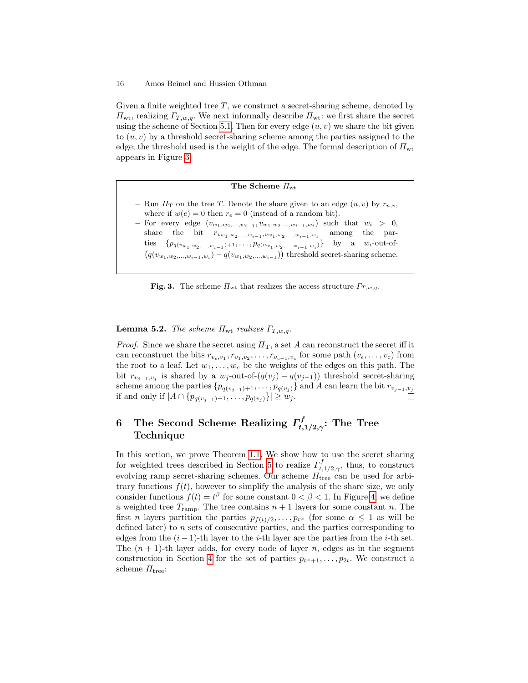Given a finite weighted tree  $T$ , we construct a secret-sharing scheme, denoted by  $\Pi_{\rm wt}$ , realizing  $\Gamma_{T,w,q}$ . We next informally describe  $\Pi_{\rm wt}$ : we first share the secret using the scheme of Section [5.1.](#page-13-0) Then for every edge  $(u, v)$  we share the bit given to  $(u, v)$  by a threshold secret-sharing scheme among the parties assigned to the edge; the threshold used is the weight of the edge. The formal description of  $\Pi_{\rm wt}$ appears in Figure [3.](#page-15-1)

# The Scheme  $\Pi_{\rm wt}$ – Run  $\Pi_{\rm T}$  on the tree T. Denote the share given to an edge  $(u, v)$  by  $r_{u,v}$ , where if  $w(e) = 0$  then  $r_e = 0$  (instead of a random bit). – For every edge  $(v_{w_1, w_2,..., w_{i-1}}, v_{w_1, w_2,..., w_{i-1}, w_i})$  such that  $w_i > 0$ , share the bit  $r_{v_{w_1,w_2,...,w_{i-1}},v_{w_1,w_2,...,w_{i-1},w_i}}$ among the parties  $\{p_{q(v_{w_1}, w_2,...,w_{i-1})+1}, \ldots, p_{q(v_{w_1}, w_2,...,w_{i-1},w_i)}\}$  by a  $w_i$ -out-of- $(q(v_{w_1,w_2,...,w_{i-1},w_i}) - q(v_{w_1,w_2,...,w_{i-1}}))$  threshold secret-sharing scheme.

<span id="page-15-1"></span>Fig. 3. The scheme  $\Pi_{\rm wt}$  that realizes the access structure  $\Gamma_{T,w,q}$ .

<span id="page-15-2"></span>**Lemma 5.2.** The scheme  $\Pi_{\rm wt}$  realizes  $\Gamma_{T,w,q}$ .

*Proof.* Since we share the secret using  $\Pi_T$ , a set A can reconstruct the secret iff it can reconstruct the bits  $r_{v_{\epsilon},v_1}, r_{v_1,v_2}, \ldots, r_{v_{c-1},v_c}$  for some path  $(v_{\epsilon}, \ldots, v_{c})$  from the root to a leaf. Let  $w_1, \ldots, w_c$  be the weights of the edges on this path. The bit  $r_{v_{j-1},v_j}$  is shared by a  $w_j$ -out-of- $(q(v_j) - q(v_{j-1}))$  threshold secret-sharing scheme among the parties  $\{p_{q(v_{j-1})+1}, \ldots, p_{q(v_j)}\}$  and A can learn the bit  $r_{v_{j-1},v_j}$ if and only if  $|A ∩ {p_{q(v_{j-1})+1}, ..., p_{q(v_j)}}| ≥ w_j$ . П

#### <span id="page-15-0"></span>6 The Second Scheme Realizing  $\Gamma_t^f$  $t,1/2,\gamma$ : The Tree Technique

In this section, we prove Theorem [1.1.](#page-2-1) We show how to use the secret sharing for weighted trees described in Section [5](#page-13-1) to realize  $\Gamma_t^f$ .  $t,1/2,\gamma$ , thus, to construct evolving ramp secret-sharing schemes. Our scheme  $\Pi_{\text{tree}}$  can be used for arbitrary functions  $f(t)$ , however to simplify the analysis of the share size, we only consider functions  $f(t) = t^{\beta}$  for some constant  $0 < \beta < 1$ . In Figure [4,](#page-16-0) we define a weighted tree  $T_{\text{ramp}}$ . The tree contains  $n + 1$  layers for some constant n. The first *n* layers partition the parties  $p_{f(t)/2}, \ldots, p_{t^{\alpha}}$  (for some  $\alpha \leq 1$  as will be defined later) to n sets of consecutive parties, and the parties corresponding to edges from the  $(i - 1)$ -th layer to the *i*-th layer are the parties from the *i*-th set. The  $(n + 1)$ -th layer adds, for every node of layer n, edges as in the segment construction in Section [4](#page-11-0) for the set of parties  $p_{t^{\alpha}+1}, \ldots, p_{2t}$ . We construct a scheme  $\Pi_{\text{tree}}$ :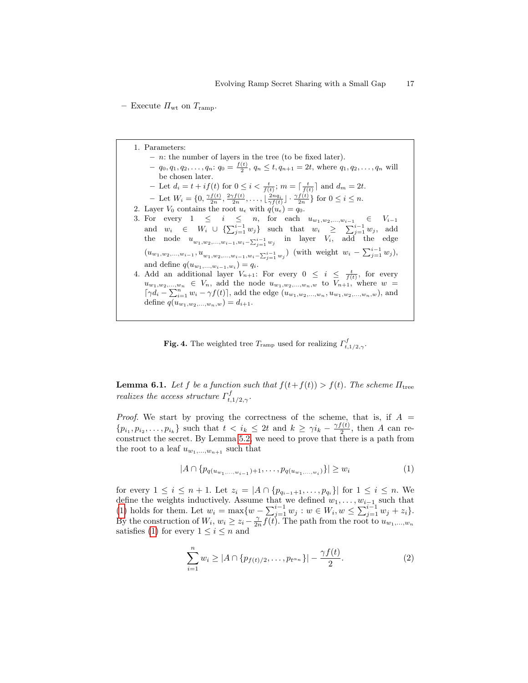– Execute  $\Pi_{\rm wt}$  on  $T_{\rm ramp}$ .

1. Parameters:  $- n$ : the number of layers in the tree (to be fixed later).  $q_0, q_1, q_2, \ldots, q_n: q_0 = \frac{f(t)}{2}, q_n \le t, q_{n+1} = 2t$ , where  $q_1, q_2, \ldots, q_n$  will be chosen later. - Let  $d_i = t + if(t)$  for  $0 \leq i < \frac{t}{f(t)}$ ;  $m = \lceil \frac{t}{f(t)} \rceil$  and  $d_m = 2t$ . - Let  $W_i = \{0, \frac{\gamma f(t)}{2n}, \frac{2\gamma f(t)}{2n}, \dots, \left\lfloor \frac{2nq_i}{\gamma f(t)} \right\rfloor \cdot \frac{\gamma f(t)}{2n} \}$  for  $0 \le i \le n$ . 2. Layer  $V_0$  contains the root  $u_{\epsilon}$  with  $q(u_{\epsilon}) = q_0$ . 3. For every  $1 \leq i \leq n$ , for each  $u_{w_1, w_2,...,w_{i-1}} \in V_{i-1}$ and  $w_i \in W_i \cup \{\sum_{j=1}^{i-1} w_j\}$  such that  $w_i \geq \sum_{j=1}^{i-1} w_j$ , add the node  $u_{w_1, w_2, ..., w_{i-1}, w_i - \sum_{j=1}^{i-1} w_j}$  in layer  $V_i$ , add the edge  $(u_{w_1,w_2,...,w_{i-1}}, u_{w_1,w_2,...,w_{i-1},w_i-\sum_{j=1}^{i-1} w_j})$  (with weight  $w_i - \sum_{j=1}^{i-1} w_j$ ), and define  $q(u_{w_1,...,w_{i-1},w_i}) = q_i$ . 4. Add an additional layer  $V_{n+1}$ : For every  $0 \leq i \leq \frac{t}{f(t)}$ , for every  $u_{w_1,w_2,...,w_n} \in V_n$ , add the node  $u_{w_1,w_2,...,w_n,w}$  to  $V_{n+1}$ , where  $w =$  $\lceil \gamma d_i - \sum_{i=1}^n w_i - \gamma f(t) \rceil$ , add the edge  $(u_{w_1, w_2,...,w_n}, u_{w_1, w_2,...,w_n,w})$ , and define  $q(u_{w_1,w_2,...,w_n,w}) = d_{i+1}.$ 

<span id="page-16-0"></span>**Fig. 4.** The weighted tree  $T_{\text{ramp}}$  used for realizing  $\Gamma_{t,1/2,\gamma}^f$ .

**Lemma 6.1.** Let f be a function such that  $f(t+f(t)) > f(t)$ . The scheme  $\Pi_{\text{tree}}$ realizes the access structure  $\Gamma_t^f$ ι $_{t,1/2,\gamma}^{\mathsf{r}}.$ 

*Proof.* We start by proving the correctness of the scheme, that is, if  $A =$  $\{p_{i_1}, p_{i_2}, \ldots, p_{i_k}\}\$  such that  $t < i_k \leq 2t$  and  $k \geq \gamma i_k - \frac{\gamma f(t)}{2}$  $\frac{1}{2}$ , then A can reconstruct the secret. By Lemma [5.2,](#page-15-2) we need to prove that there is a path from the root to a leaf  $u_{w_1,...,w_{n+1}}$  such that

<span id="page-16-1"></span>
$$
|A \cap \{p_{q(u_{w_1,...,w_{i-1}})+1},\ldots,p_{q(u_{w_1,...,w_i})}\}| \ge w_i
$$
\n(1)

for every  $1 \le i \le n+1$ . Let  $z_i = |A \cap \{p_{q_{i-1}+1}, \ldots, p_{q_i}\}|$  for  $1 \le i \le n$ . We define the weights inductively. Assume that we defined  $w_1, \ldots, w_{i-1}$  such that [\(1\)](#page-16-1) holds for them. Let  $w_i = \max\{w - \sum_{j=1}^{i-1} w_j : w \in W_i, w \leq \sum_{j=1}^{i-1} w_j + z_i\}.$ By the construction of  $W_i, w_i \geq z_i - \frac{\gamma}{2n} f(t)$ . The path from the root to  $u_{w_1,...,w_n}$ satisfies [\(1\)](#page-16-1) for every  $1 \leq i \leq n$  and

$$
\sum_{i=1}^{n} w_i \ge |A \cap \{p_{f(t)/2}, \dots, p_{t^{\alpha_n}}\}| - \frac{\gamma f(t)}{2}.
$$
 (2)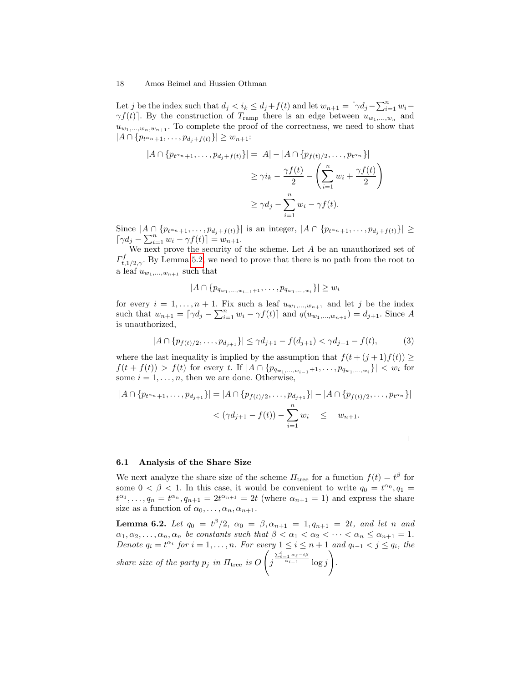Let j be the index such that  $d_j < i_k \leq d_j + f(t)$  and let  $w_{n+1} = \lceil \gamma d_j - \sum_{i=1}^n w_i \gamma f(t)$ . By the construction of  $T_{\text{ramp}}$  there is an edge between  $u_{w_1,...,w_n}$  and  $u_{w_1,...,w_n,w_{n+1}}$ . To complete the proof of the correctness, we need to show that  $|A \cap \{p_{t^{\alpha_n}+1}, \ldots, p_{d_j+f(t)}\}| \geq w_{n+1}$ :

$$
|A \cap \{p_{t^{\alpha_n}+1}, \dots, p_{d_j+f(t)}\}| = |A| - |A \cap \{p_{f(t)/2}, \dots, p_{t^{\alpha_n}}\}|
$$
  

$$
\geq \gamma i_k - \frac{\gamma f(t)}{2} - \left(\sum_{i=1}^n w_i + \frac{\gamma f(t)}{2}\right)
$$
  

$$
\geq \gamma d_j - \sum_{i=1}^n w_i - \gamma f(t).
$$

Since  $|A \cap \{p_{t^{\alpha_n}+1}, \ldots, p_{d_j+f(t)}\}\|$  is an integer,  $|A \cap \{p_{t^{\alpha_n}+1}, \ldots, p_{d_j+f(t)}\}\|$  ≥  $[\gamma d_j - \sum_{i=1}^n w_i - \gamma f(t)] = w_{n+1}.$ 

We next prove the security of the scheme. Let  $A$  be an unauthorized set of  $\varGamma^{f}_*$  $t_{t,1/2,\gamma}$ . By Lemma [5.2,](#page-15-2) we need to prove that there is no path from the root to a leaf  $u_{w_1,...,w_{n+1}}$  such that

 $|A \cap \{p_{q_{w_1,\ldots,w_{i-1}+1}},\ldots,p_{q_{w_1,\ldots,w_i}}\}| \geq w_i$ 

for every  $i = 1, ..., n + 1$ . Fix such a leaf  $u_{w_1,...,w_{n+1}}$  and let j be the index such that  $w_{n+1} = \lfloor \gamma d_j - \sum_{i=1}^n w_i - \gamma f(t) \rfloor$  and  $q(w_{w_1,...,w_{n+1}}) = d_{j+1}$ . Since A is unauthorized,

$$
|A \cap \{p_{f(t)/2}, \dots, p_{d_{j+1}}\}| \le \gamma d_{j+1} - f(d_{j+1}) < \gamma d_{j+1} - f(t),
$$
 (3)

where the last inequality is implied by the assumption that  $f(t + (j + 1)f(t)) \ge$  $f(t + f(t)) > f(t)$  for every t. If  $|A \cap \{p_{q_{w_1,...,w_{i-1}}+1},...,p_{q_{w_1,...,w_i}}\}| < w_i$  for some  $i = 1, \ldots, n$ , then we are done. Otherwise,

$$
|A \cap \{p_{t^{\alpha_n}+1}, \dots, p_{d_{j+1}}\}| = |A \cap \{p_{f(t)/2}, \dots, p_{d_{j+1}}\}| - |A \cap \{p_{f(t)/2}, \dots, p_{t^{\alpha_n}}\}|
$$
  

$$
< (\gamma d_{j+1} - f(t)) - \sum_{i=1}^n w_i \leq w_{n+1}.
$$

#### 6.1 Analysis of the Share Size

We next analyze the share size of the scheme  $\Pi$ <sub>tree</sub> for a function  $f(t) = t^{\beta}$  for some  $0 < \beta < 1$ . In this case, it would be convenient to write  $q_0 = t^{\alpha_0}, q_1 =$  $t^{\alpha_1}, \ldots, q_n = t^{\alpha_n}, q_{n+1} = 2t^{\alpha_{n+1}} = 2t$  (where  $\alpha_{n+1} = 1$ ) and express the share size as a function of  $\alpha_0, \ldots, \alpha_n, \alpha_{n+1}$ .

**Lemma 6.2.** Let  $q_0 = t^{\beta}/2$ ,  $\alpha_0 = \beta, \alpha_{n+1} = 1, q_{n+1} = 2t$ , and let n and  $\alpha_1, \alpha_2, \ldots, \alpha_n, \alpha_n$  be constants such that  $\beta < \alpha_1 < \alpha_2 < \cdots < \alpha_n \leq \alpha_{n+1} = 1$ . Denote  $q_i = t^{\alpha_i}$  for  $i = 1, ..., n$ . For every  $1 \leq i \leq n+1$  and  $q_{i-1} < j \leq q_i$ , the share size of the party  $p_j$  in  $\Pi_{\text{tree}}$  is O  $\sqrt{ }$ j  $\frac{\sum_{\ell=1}^{i} \alpha_{\ell} - i\beta}{\alpha_{i-1}} \log j$  $\setminus$ .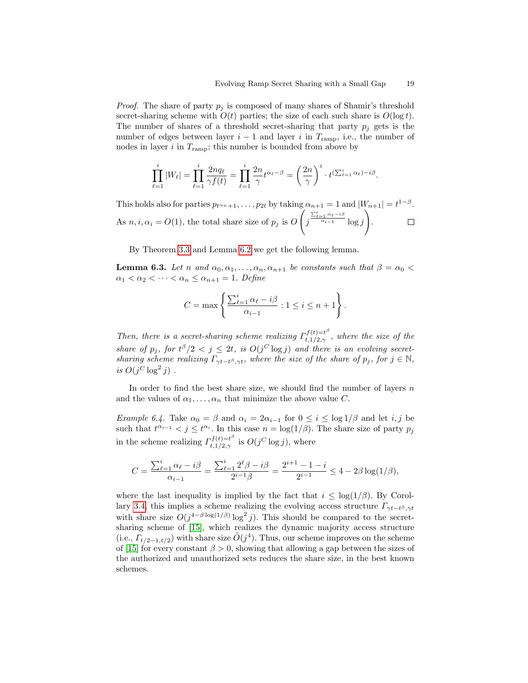*Proof.* The share of party  $p_i$  is composed of many shares of Shamir's threshold secret-sharing scheme with  $O(t)$  parties; the size of each such share is  $O(\log t)$ . The number of shares of a threshold secret-sharing that party  $p_i$  gets is the number of edges between layer  $i - 1$  and layer i in  $T_{\text{ramp}}$ , i.e., the number of nodes in layer  $i$  in  $T_{\text{ramp}}$ ; this number is bounded from above by

$$
\prod_{\ell=1}^i |W_\ell| = \prod_{\ell=1}^i \frac{2nq_\ell}{\gamma f(t)} = \prod_{\ell=1}^i \frac{2n}{\gamma} t^{\alpha_\ell - \beta} = \left(\frac{2n}{\gamma}\right)^i \cdot t^{\left(\sum_{\ell=1}^i \alpha_\ell\right) - i\beta}.
$$

This holds also for parties  $p_{t^{\alpha_n}+1}, \ldots, p_{2t}$  by taking  $\alpha_{n+1} = 1$  and  $|W_{n+1}| = t^{1-\beta}$ .  $\sqrt{ }$  $\setminus$  $\frac{\sum_{\ell=1}^{i}\alpha_{\ell}-i\beta}{\alpha_{i-1}}\log j$ As  $n, i, \alpha_i = O(1)$ , the total share size of  $p_j$  is O j .  $\Box$ 

By Theorem [3.3](#page-9-1) and Lemma [6.2](#page-15-2) we get the following lemma.

**Lemma 6.3.** Let n and  $\alpha_0, \alpha_1, \ldots, \alpha_n, \alpha_{n+1}$  be constants such that  $\beta = \alpha_0$  $\alpha_1 < \alpha_2 < \cdots < \alpha_n \leq \alpha_{n+1} = 1$ . Define

$$
C = \max \left\{ \frac{\sum_{\ell=1}^i \alpha_{\ell} - i\beta}{\alpha_{i-1}} : 1 \le i \le n+1 \right\}.
$$

Then, there is a secret-sharing scheme realizing  $\Gamma_{t+1/2}^{f(t)=t^{\beta}}$  $t,1/2,\gamma$ , where the size of the share of  $p_j$ , for  $t^{\beta}/2 < j \leq 2t$ , is  $O(j^C \log j)$  and there is an evolving secretsharing scheme realizing  $\Gamma_{\gamma t-t\beta,\gamma t}$ , where the size of the share of  $p_j$ , for  $j \in \mathbb{N}$ , is  $O(j^C \log^2 j)$ .

In order to find the best share size, we should find the number of layers  $n$ and the values of  $\alpha_1, \ldots, \alpha_n$  that minimize the above value C.

<span id="page-18-0"></span>Example 6.4. Take  $\alpha_0 = \beta$  and  $\alpha_i = 2\alpha_{i-1}$  for  $0 \le i \le \log 1/\beta$  and let i, j be such that  $t^{\alpha_{i-1}} < j \leq t^{\alpha_i}$ . In this case  $n = \log(1/\beta)$ . The share size of party  $p_j$ in the scheme realizing  $\Gamma_{t+1/2}^{f(t)=t^{\beta}}$  $t, t^{(t)=t^{\nu}}_{t,1/2,\gamma}$  is  $O(j^C \log j)$ , where

$$
C = \frac{\sum_{\ell=1}^{i} \alpha_{\ell} - i\beta}{\alpha_{i-1}} = \frac{\sum_{\ell=1}^{i} 2^{\ell} \beta - i\beta}{2^{i-1} \beta} = \frac{2^{i+1} - 1 - i}{2^{i-1}} \le 4 - 2\beta \log(1/\beta),
$$

where the last inequality is implied by the fact that  $i \leq \log(1/\beta)$ . By Corol-lary [3.4,](#page-10-1) this implies a scheme realizing the evolving access structure  $\Gamma_{\gamma t-t^{\beta},\gamma t}$ with share size  $O(j^{4-\beta \log(1/\beta)} \log^2 j)$ . This should be compared to the secretsharing scheme of [\[15\]](#page-26-3), which realizes the dynamic majority access structure (i.e.,  $\overline{\Gamma_{t/2-1,t/2}}$ ) with share size  $\tilde{O}(j^4)$ . Thus, our scheme improves on the scheme of [\[15\]](#page-26-3) for every constant  $\beta > 0$ , showing that allowing a gap between the sizes of the authorized and unauthorized sets reduces the share size, in the best known schemes.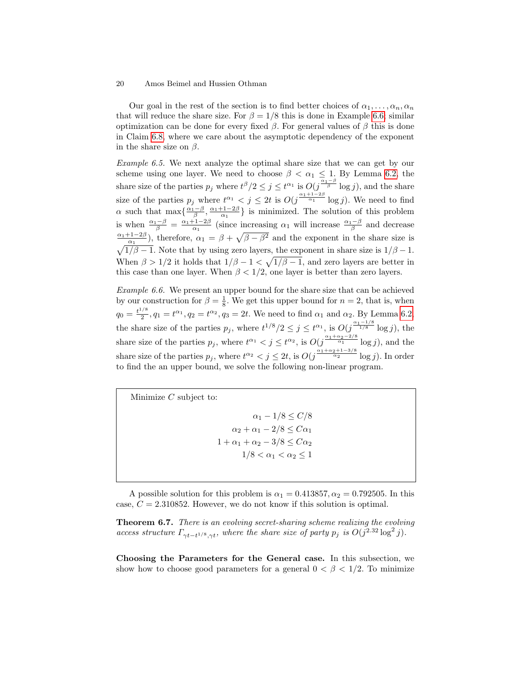Our goal in the rest of the section is to find better choices of  $\alpha_1, \ldots, \alpha_n, \alpha_n$ that will reduce the share size. For  $\beta = 1/8$  this is done in Example [6.6;](#page-19-0) similar optimization can be done for every fixed  $\beta$ . For general values of  $\beta$  this is done in Claim [6.8,](#page-20-0) where we care about the asymptotic dependency of the exponent in the share size on  $\beta$ .

Example 6.5. We next analyze the optimal share size that we can get by our scheme using one layer. We need to choose  $\beta < \alpha_1 \leq 1$ . By Lemma [6.2,](#page-15-2) the share size of the parties  $p_j$  where  $t^{\beta}/2 \leq j \leq t^{\alpha_1}$  is  $O(j^{\frac{\alpha_1-\beta}{\beta}} \log j)$ , and the share size of the parties  $p_j$  where  $t^{\alpha_1} < j \leq 2t$  is  $O(j^{\frac{\alpha_1+1-2\beta}{\alpha_1}} \log j)$ . We need to find  $\alpha$  such that  $\max\{\frac{\alpha_1-\beta}{\beta}, \frac{\alpha_1+1-2\beta}{\alpha_1}\}$  is minimized. The solution of this problem is when  $\frac{\alpha_1-\beta}{\beta} = \frac{\alpha_1+1-2\beta}{\alpha_1}$  (since increasing  $\alpha_1$  will increase  $\frac{\alpha_1-\beta}{\beta}$  and decrease  $\frac{\alpha_1+1-2\beta}{\alpha_1}$ , therefore,  $\alpha_1 = \beta + \sqrt{\beta - \beta^2}$  and the exponent in the share size is  $\sqrt{1/\beta - 1}$ . Note that by using zero layers, the exponent in share size is  $1/\beta - 1$ . When  $\beta > 1/2$  it holds that  $1/\beta - 1 < \sqrt{1/\beta - 1}$ , and zero layers are better in this case than one layer. When  $\beta < 1/2$ , one layer is better than zero layers.

<span id="page-19-0"></span>Example 6.6. We present an upper bound for the share size that can be achieved by our construction for  $\beta = \frac{1}{8}$ . We get this upper bound for  $n = 2$ , that is, when  $q_0 = \frac{t^{1/8}}{2}$  $\frac{1}{2}$ ,  $q_1 = t^{\alpha_1}$ ,  $q_2 = t^{\alpha_2}$ ,  $q_3 = 2t$ . We need to find  $\alpha_1$  and  $\alpha_2$ . By Lemma [6.2,](#page-15-2) the share size of the parties  $p_j$ , where  $t^{1/8}/2 \leq j \leq t^{\alpha_1}$ , is  $O(j^{\frac{\alpha_1-1/8}{1/8}} \log j)$ , the share size of the parties  $p_j$ , where  $t^{\alpha_1} < j \leq t^{\alpha_2}$ , is  $O(j^{\frac{\alpha_1 + \alpha_2 - 2/8}{\alpha_1}} \log j)$ , and the share size of the parties  $p_j$ , where  $t^{\alpha_2} < j \le 2t$ , is  $O(j^{\frac{\alpha_1+\alpha_2+1-3/8}{\alpha_2}} \log j)$ . In order to find the an upper bound, we solve the following non-linear program.

Minimize  $C$  subject to:  $\alpha_1 - 1/8 \le C/8$  $\alpha_2 + \alpha_1 - 2/8 \leq C \alpha_1$  $1+\alpha_1+\alpha_2-3/8\leq C\alpha_2$ 

 $1/8 < \alpha_1 < \alpha_2 \leq 1$ 

A possible solution for this problem is  $\alpha_1 = 0.413857, \alpha_2 = 0.792505$ . In this case,  $C = 2.310852$ . However, we do not know if this solution is optimal.

Theorem 6.7. There is an evolving secret-sharing scheme realizing the evolving access structure  $\Gamma_{\gamma t - t^{1/8}, \gamma t}$ , where the share size of party  $p_j$  is  $O(j^{2.32} \log^2 j)$ .

<span id="page-19-1"></span>Choosing the Parameters for the General case. In this subsection, we show how to choose good parameters for a general  $0 < \beta < 1/2$ . To minimize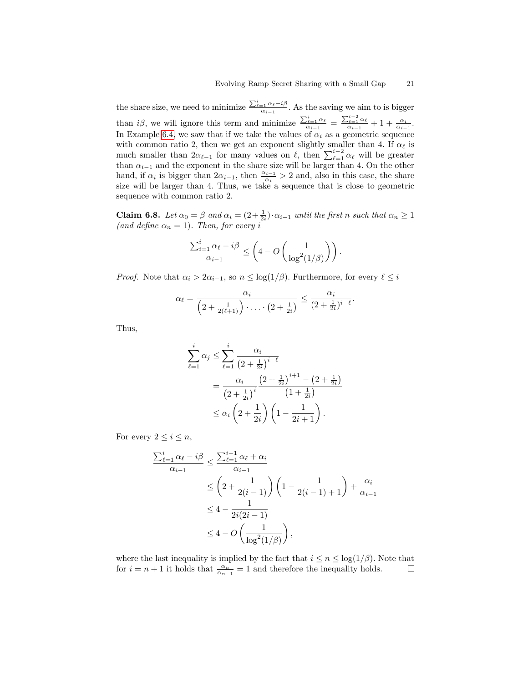the share size, we need to minimize  $\frac{\sum_{\ell=1}^{i} \alpha_{\ell}-i\beta}{\alpha_{i-1}}$ . As the saving we aim to is bigger than *i* $\beta$ , we will ignore this term and minimize  $\frac{\sum_{\ell=1}^{i} \alpha_{\ell}}{\alpha_{i-1}} = \frac{\sum_{\ell=1}^{i-2} \alpha_{\ell}}{\alpha_{i-1}} + 1 + \frac{\alpha_i}{\alpha_{i-1}}$ . In Example [6.4,](#page-18-0) we saw that if we take the values of  $\alpha_i$  as a geometric sequence with common ratio 2, then we get an exponent slightly smaller than 4. If  $\alpha_{\ell}$  is much smaller than  $2\alpha_{\ell-1}$  for many values on  $\ell$ , then  $\sum_{\ell=1}^{i-2} \alpha_{\ell}$  will be greater than  $\alpha_{i-1}$  and the exponent in the share size will be larger than 4. On the other hand, if  $\alpha_i$  is bigger than  $2\alpha_{i-1}$ , then  $\frac{\alpha_{i-1}}{\alpha_i} > 2$  and, also in this case, the share size will be larger than 4. Thus, we take a sequence that is close to geometric sequence with common ratio 2.

<span id="page-20-0"></span>**Claim 6.8.** Let  $\alpha_0 = \beta$  and  $\alpha_i = (2 + \frac{1}{2i}) \cdot \alpha_{i-1}$  until the first n such that  $\alpha_n \ge 1$ (and define  $\alpha_n = 1$ ). Then, for every i

$$
\frac{\sum_{i=1}^i \alpha_i - i\beta}{\alpha_{i-1}} \le \left(4 - O\left(\frac{1}{\log^2(1/\beta)}\right)\right).
$$

*Proof.* Note that  $\alpha_i > 2\alpha_{i-1}$ , so  $n \leq \log(1/\beta)$ . Furthermore, for every  $\ell \leq i$ 

$$
\alpha_{\ell} = \frac{\alpha_i}{\left(2 + \frac{1}{2(\ell+1)}\right) \cdot \ldots \cdot \left(2 + \frac{1}{2i}\right)} \leq \frac{\alpha_i}{(2 + \frac{1}{2i})^{i-\ell}}.
$$

Thus,

$$
\sum_{\ell=1}^{i} \alpha_j \le \sum_{\ell=1}^{i} \frac{\alpha_i}{\left(2 + \frac{1}{2i}\right)^{i-\ell}} \n= \frac{\alpha_i}{\left(2 + \frac{1}{2i}\right)^i} \frac{\left(2 + \frac{1}{2i}\right)^{i+1} - \left(2 + \frac{1}{2i}\right)}{\left(1 + \frac{1}{2i}\right)} \n\le \alpha_i \left(2 + \frac{1}{2i}\right) \left(1 - \frac{1}{2i+1}\right).
$$

For every  $2 \leq i \leq n$ ,

$$
\frac{\sum_{\ell=1}^{i} \alpha_{\ell} - i\beta}{\alpha_{i-1}} \le \frac{\sum_{\ell=1}^{i-1} \alpha_{\ell} + \alpha_{i}}{\alpha_{i-1}}
$$
  
\n
$$
\le \left(2 + \frac{1}{2(i-1)}\right) \left(1 - \frac{1}{2(i-1)+1}\right) + \frac{\alpha_{i}}{\alpha_{i-1}}
$$
  
\n
$$
\le 4 - \frac{1}{2i(2i-1)}
$$
  
\n
$$
\le 4 - O\left(\frac{1}{\log^{2}(1/\beta)}\right),
$$

where the last inequality is implied by the fact that  $i \leq n \leq \log(1/\beta)$ . Note that for  $i = n + 1$  it holds that  $\frac{\alpha_n}{\alpha_{n-1}} = 1$  and therefore the inequality holds.  $\Box$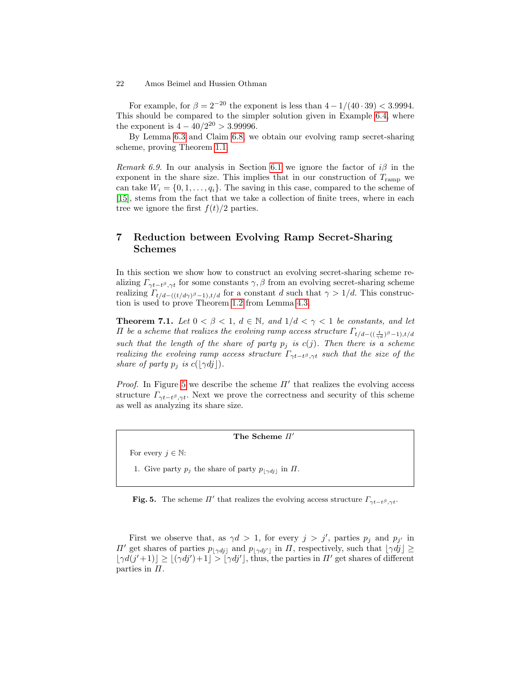For example, for  $\beta = 2^{-20}$  the exponent is less than  $4 - 1/(40 \cdot 39) < 3.9994$ . This should be compared to the simpler solution given in Example [6.4,](#page-18-0) where the exponent is  $4 - 40/2^{20} > 3.99996$ .

By Lemma [6.3](#page-12-0) and Claim [6.8,](#page-20-0) we obtain our evolving ramp secret-sharing scheme, proving Theorem [1.1.](#page-2-1)

Remark 6.9. In our analysis in Section [6.1](#page-19-1) we ignore the factor of  $i\beta$  in the exponent in the share size. This implies that in our construction of  $T_{\text{ramp}}$  we can take  $W_i = \{0, 1, \ldots, q_i\}$ . The saving in this case, compared to the scheme of [\[15\]](#page-26-3), stems from the fact that we take a collection of finite trees, where in each tree we ignore the first  $f(t)/2$  parties.

# <span id="page-21-0"></span>7 Reduction between Evolving Ramp Secret-Sharing Schemes

In this section we show how to construct an evolving secret-sharing scheme realizing  $\Gamma_{\gamma t-t^{\beta},\gamma t}$  for some constants  $\gamma, \beta$  from an evolving secret-sharing scheme realizing  $\Gamma_{t/d-((t/d\gamma)^{\beta}-1),t/d}$  for a constant d such that  $\gamma > 1/d$ . This construction is used to prove Theorem [1.2](#page-2-0) from Lemma [4.3.](#page-12-0)

**Theorem 7.1.** Let  $0 < \beta < 1$ ,  $d \in \mathbb{N}$ , and  $1/d < \gamma < 1$  be constants, and let *Π* be a scheme that realizes the evolving ramp access structure  $\Gamma_{t/d-((\frac{t}{\gamma d})^{\beta}-1),t/d}$ such that the length of the share of party  $p_i$  is  $c(j)$ . Then there is a scheme realizing the evolving ramp access structure  $\Gamma_{\gamma t-t}$ , such that the size of the share of party  $p_j$  is  $c(\lfloor \gamma d_j \rfloor)$ .

*Proof.* In Figure [5](#page-21-2) we describe the scheme  $\Pi'$  that realizes the evolving access structure  $\Gamma_{\gamma t-t^{\beta},\gamma t}$ . Next we prove the correctness and security of this scheme as well as analyzing its share size.

<span id="page-21-1"></span>The Scheme  $\Pi'$ 

For every  $j \in \mathbb{N}$ :

1. Give party  $p_j$  the share of party  $p_{\lfloor \gamma d_j \rfloor}$  in  $\Pi$ .

<span id="page-21-2"></span>**Fig. 5.** The scheme  $\Pi'$  that realizes the evolving access structure  $\Gamma_{\gamma t-t\beta,\gamma t}$ .

First we observe that, as  $\gamma d > 1$ , for every  $j > j'$ , parties  $p_j$  and  $p_{j'}$  in  $\Pi'$  get shares of parties  $p_{\vert \gamma d\bar{j}\vert}$  and  $p_{\vert \gamma d\bar{j}\vert}$  in  $\Pi$ , respectively, such that  $\lfloor \gamma d\bar{j} \rfloor \ge$  $|\gamma d(j'+1)| \ge |(\gamma d j')+1| > |\gamma d j'|$ , thus, the parties in  $\Pi'$  get shares of different parties in  $\Pi$ .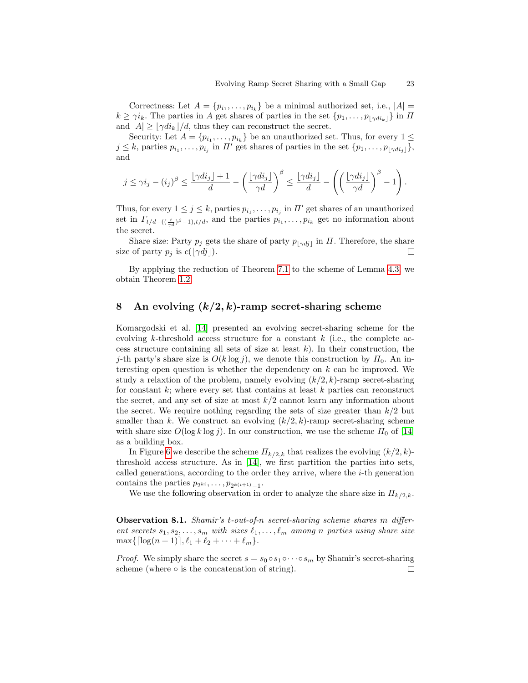Correctness: Let  $A = \{p_{i_1}, \ldots, p_{i_k}\}\$ be a minimal authorized set, i.e.,  $|A|$  =  $k \geq \gamma i_k$ . The parties in A get shares of parties in the set  $\{p_1, \ldots, p_{|\gamma di_k|}\}$  in  $\Pi$ and  $|A| \geq |\gamma di_k|/d$ , thus they can reconstruct the secret.

Security: Let  $A = \{p_{i_1}, \ldots, p_{i_k}\}\$ be an unauthorized set. Thus, for every  $1 \leq$  $j \leq k$ , parties  $p_{i_1}, \ldots, p_{i_j}$  in  $\Pi'$  get shares of parties in the set  $\{p_1, \ldots, p_{\lfloor \gamma d i_j \rfloor}\},$ and

$$
j \leq \gamma i_j - (i_j)^{\beta} \leq \frac{\lfloor \gamma di_j \rfloor + 1}{d} - \left(\frac{\lfloor \gamma di_j \rfloor}{\gamma d}\right)^{\beta} \leq \frac{\lfloor \gamma di_j \rfloor}{d} - \left(\left(\frac{\lfloor \gamma di_j \rfloor}{\gamma d}\right)^{\beta} - 1\right).
$$

Thus, for every  $1 \leq j \leq k$ , parties  $p_{i_1}, \ldots, p_{i_j}$  in  $\Pi'$  get shares of an unauthorized set in  $\Gamma_{t/d-((\frac{t}{\gamma d})^{\beta}-1),t/d}$ , and the parties  $p_{i_1},\ldots,p_{i_k}$  get no information about the secret.

Share size: Party  $p_j$  gets the share of party  $p_{\vert \gamma d_j \vert}$  in  $\Pi$ . Therefore, the share size of party  $p_j$  is  $c(\lfloor \gamma d_j \rfloor)$ .  $\Box$ 

By applying the reduction of Theorem [7.1](#page-21-1) to the scheme of Lemma [4.3,](#page-12-0) we obtain Theorem [1.2.](#page-2-0)

# <span id="page-22-0"></span>8 An evolving  $(k/2, k)$ -ramp secret-sharing scheme

Komargodski et al. [\[14\]](#page-26-0) presented an evolving secret-sharing scheme for the evolving k-threshold access structure for a constant  $k$  (i.e., the complete access structure containing all sets of size at least  $k$ ). In their construction, the j-th party's share size is  $O(k \log j)$ , we denote this construction by  $\Pi_0$ . An interesting open question is whether the dependency on  $k$  can be improved. We study a relaxtion of the problem, namely evolving  $(k/2, k)$ -ramp secret-sharing for constant  $k$ ; where every set that contains at least  $k$  parties can reconstruct the secret, and any set of size at most  $k/2$  cannot learn any information about the secret. We require nothing regarding the sets of size greater than  $k/2$  but smaller than k. We construct an evolving  $(k/2, k)$ -ramp secret-sharing scheme with share size  $O(\log k \log j)$ . In our construction, we use the scheme  $\Pi_0$  of [\[14\]](#page-26-0) as a building box.

In Figure [6](#page-23-0) we describe the scheme  $\Pi_{k/2,k}$  that realizes the evolving  $(k/2, k)$ threshold access structure. As in [\[14\]](#page-26-0), we first partition the parties into sets, called generations, according to the order they arrive, where the i-th generation contains the parties  $p_{2^{ki}}, \ldots, p_{2^{k(i+1)}-1}$ .

<span id="page-22-1"></span>We use the following observation in order to analyze the share size in  $\Pi_{k/2,k}$ .

Observation 8.1. Shamir's t-out-of-n secret-sharing scheme shares m different secrets  $s_1, s_2, \ldots, s_m$  with sizes  $\ell_1, \ldots, \ell_m$  among n parties using share size  $\max\{\lceil \log(n + 1) \rceil, \ell_1 + \ell_2 + \cdots + \ell_m\}.$ 

*Proof.* We simply share the secret  $s = s_0 \circ s_1 \circ \cdots \circ s_m$  by Shamir's secret-sharing scheme (where  $\circ$  is the concatenation of string).  $\Box$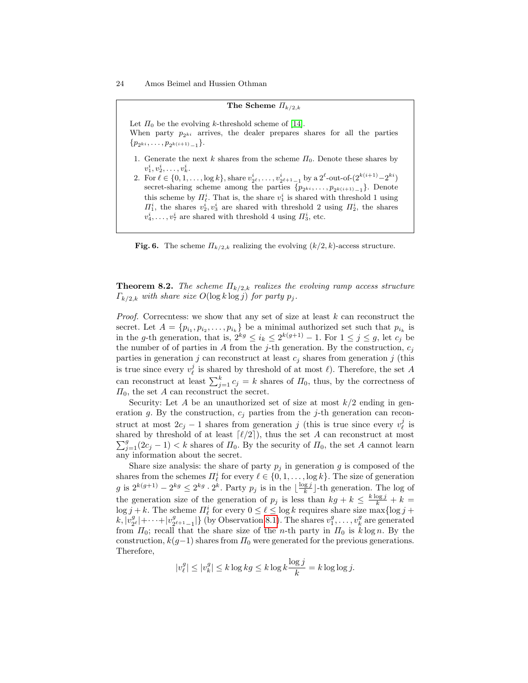#### The Scheme  $\Pi_{k/2,k}$

Let  $\Pi_0$  be the evolving k-threshold scheme of [\[14\]](#page-26-0).

When party  $p_{2ki}$  arrives, the dealer prepares shares for all the parties  $\{p_{2^{ki}}, \ldots, p_{2^{k(i+1)}-1}\}.$ 

- 1. Generate the next k shares from the scheme  $\Pi_0$ . Denote these shares by  $v_1^i, v_2^i, \ldots, v_k^i$ .
- 2. For  $\ell \in \{0, 1, \ldots, \log k\}$ , share  $v_2^i, \ldots, v_{2^{\ell+1}-1}^i$  by a  $2^{\ell}$ -out-of- $(2^{k(i+1)}-2^{ki})$ secret-sharing scheme among the parties  $\{p_{2^{ki}}, \ldots, p_{2^{k(i+1)}-1}\}$ . Denote this scheme by  $\prod_{\ell}^{i}$ . That is, the share  $v_1^i$  is shared with threshold 1 using  $\Pi_1^i$ , the shares  $v_2^i, v_3^i$  are shared with threshold 2 using  $\Pi_2^i$ , the shares  $v_4^i, \ldots, v_7^i$  are shared with threshold 4 using  $\overline{H}_3^i$ , etc.

<span id="page-23-0"></span>Fig. 6. The scheme  $\Pi_{k/2,k}$  realizing the evolving  $(k/2, k)$ -access structure.

**Theorem 8.2.** The scheme  $\Pi_{k/2,k}$  realizes the evolving ramp access structure  $\Gamma_{k/2,k}$  with share size  $O(\log k \log j)$  for party  $p_j$ .

*Proof.* Correcntess: we show that any set of size at least  $k$  can reconstruct the secret. Let  $A = \{p_{i_1}, p_{i_2}, \ldots, p_{i_k}\}\$ be a minimal authorized set such that  $p_{i_k}$  is in the g-th generation, that is,  $2^{kg} \le i_k \le 2^{k(g+1)} - 1$ . For  $1 \le j \le g$ , let  $c_j$  be the number of of parties in  $A$  from the j-th generation. By the construction,  $c_i$ parties in generation j can reconstruct at least  $c_j$  shares from generation j (this is true since every  $v_{\ell}^{j}$  is shared by threshold of at most  $\ell$ ). Therefore, the set A can reconstruct at least  $\sum_{j=1}^{k} c_j = k$  shares of  $\Pi_0$ , thus, by the correctness of  $\varPi_0,$  the set  $A$  can reconstruct the secret.

Security: Let A be an unauthorized set of size at most  $k/2$  ending in generation g. By the construction,  $c_j$  parties from the j-th generation can reconstruct at most  $2c_j - 1$  shares from generation j (this is true since every  $v_{\ell}^j$  is  $\sum_{j=1}^{g}(2c_j-1) < k$  shares of  $\Pi_0$ . By the security of  $\Pi_0$ , the set A cannot learn shared by threshold of at least  $\lceil \ell/2 \rceil$ , thus the set A can reconstruct at most any information about the secret.

Share size analysis: the share of party  $p_i$  in generation g is composed of the shares from the schemes  $\Pi_{\ell}^{i}$  for every  $\ell \in \{0, 1, \ldots, \log k\}$ . The size of generation g is  $2^{k(g+1)} - 2^{kg} \leq 2^{kg} \cdot 2^{k}$ . Party  $p_j$  is in the  $\lfloor \frac{\log j}{k} \rfloor$ -th generation. The log of the generation size of the generation of  $p_j$  is less than  $kg + k \leq \frac{k \log j}{k} + k =$  $\log j + k$ . The scheme  $\Pi_{\ell}^{i}$  for every  $0 \leq \ell \leq \log k$  requires share size  $\max\{\log j + \ell\}$  $k, |v^g_2$  $\frac{g}{2^{\ell}}$  + · · · +  $|v_2^g$  $\{2^{\ell+1}-1\}$  (by Observation [8.1\)](#page-22-1). The shares  $v_1^g, \ldots, v_k^g$  are generated from  $\Pi_0$ ; recall that the share size of the *n*-th party in  $\Pi_0$  is  $k \log n$ . By the construction,  $k(g-1)$  shares from  $\Pi_0$  were generated for the previous generations. Therefore,

$$
|v_{\ell}^{g}| \le |v_{k}^{g}| \le k \log k g \le k \log k \frac{\log j}{k} = k \log \log j.
$$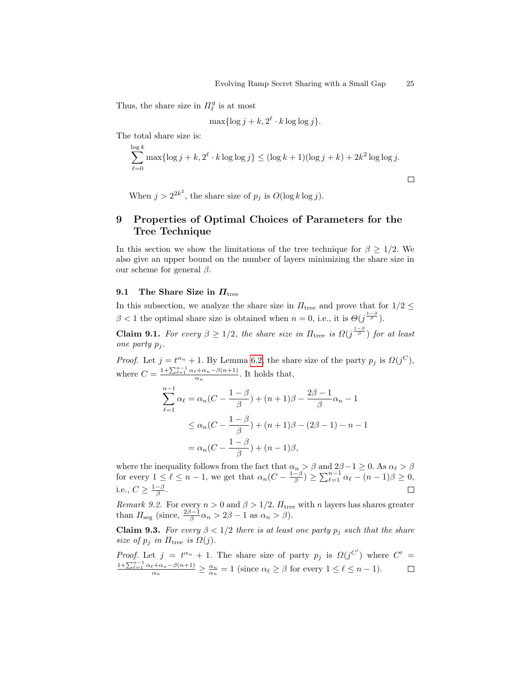$\Box$ 

Thus, the share size in  $\Pi^g_\ell$  is at most

$$
\max\{\log j + k, 2^{\ell} \cdot k \log \log j\}.
$$

The total share size is:

$$
\sum_{\ell=0}^{\log k} \max\{\log j + k, 2^{\ell} \cdot k \log \log j\} \leq (\log k + 1)(\log j + k) + 2k^2 \log \log j.
$$

When  $j > 2^{2k^2}$ , the share size of  $p_j$  is  $O(\log k \log j)$ .

# <span id="page-24-0"></span>9 Properties of Optimal Choices of Parameters for the Tree Technique

In this section we show the limitations of the tree technique for  $\beta \geq 1/2$ . We also give an upper bound on the number of layers minimizing the share size in our scheme for general  $\beta$ .

## 9.1 The Share Size in  $\Pi_{\text{tree}}$

In this subsection, we analyze the share size in  $\Pi_{\text{tree}}$  and prove that for  $1/2 \leq$  $\beta$  < 1 the optimal share size is obtained when  $n = 0$ , i.e., it is  $\Theta(j^{\frac{1-\beta}{\beta}})$ .

**Claim 9.1.** For every  $\beta \geq 1/2$ , the share size in  $\Pi_{\text{tree}}$  is  $\Omega(j^{\frac{1-\beta}{\beta}})$  for at least one party  $p_i$ .

*Proof.* Let  $j = t^{\alpha_n} + 1$ . By Lemma [6.2,](#page-15-2) the share size of the party  $p_j$  is  $\Omega(j^C)$ , where  $C = \frac{1 + \sum_{\ell=1}^{n-1} \alpha_{\ell} + \alpha_n - \beta(n+1)}{\alpha_n}$ . It holds that,

$$
\sum_{\ell=1}^{n-1} \alpha_{\ell} = \alpha_n (C - \frac{1-\beta}{\beta}) + (n+1)\beta - \frac{2\beta - 1}{\beta} \alpha_n - 1
$$
  
 
$$
\leq \alpha_n (C - \frac{1-\beta}{\beta}) + (n+1)\beta - (2\beta - 1) - n - 1
$$
  
 
$$
= \alpha_n (C - \frac{1-\beta}{\beta}) + (n-1)\beta,
$$

where the inequality follows from the fact that  $\alpha_n > \beta$  and  $2\beta - 1 \geq 0$ . As  $\alpha_{\ell} > \beta$ for every  $1 \leq \ell \leq n-1$ , we get that  $\alpha_n(C - \frac{1-\beta}{\beta}) \geq \sum_{\ell=1}^{n-1} \alpha_{\ell} - (n-1)\beta \geq 0$ , i.e.,  $C \geq \frac{1-\beta}{\beta}$ .  $\Box$ 

Remark 9.2. For every  $n > 0$  and  $\beta > 1/2$ ,  $\Pi_{\text{tree}}$  with n layers has shares greater than  $\Pi_{\text{seg}}$  (since,  $\frac{2\beta-1}{\beta}\alpha_n > 2\beta - 1$  as  $\alpha_n > \beta$ ).

<span id="page-24-1"></span>**Claim 9.3.** For every  $\beta < 1/2$  there is at least one party  $p_j$  such that the share size of  $p_j$  in  $\Pi_{\text{tree}}$  is  $\Omega(j)$ .

*Proof.* Let  $j = t^{\alpha_n} + 1$ . The share size of party  $p_j$  is  $\Omega(j^{C'})$  where  $C' =$  $\frac{1+\sum_{\ell=1}^{n-1}\alpha_{\ell}+\alpha_{n}-\beta(n+1)}{\alpha_{n}} \geq \frac{\alpha_{n}}{\alpha_{n}} = 1$  (since  $\alpha_{\ell} \geq \beta$  for every  $1 \leq \ell \leq n-1$ ).  $\Box$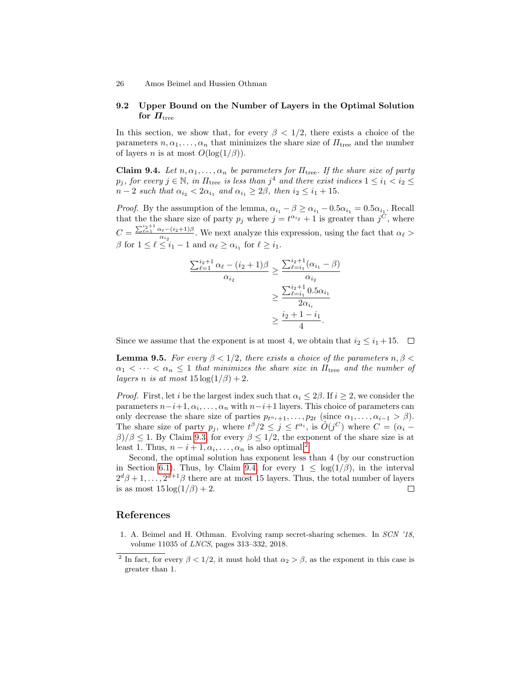# 9.2 Upper Bound on the Number of Layers in the Optimal Solution for  $\boldsymbol{\varPi}_{\text{tree}}$

In this section, we show that, for every  $\beta < 1/2$ , there exists a choice of the parameters  $n, \alpha_1, \ldots, \alpha_n$  that minimizes the share size of  $\Pi_{\text{tree}}$  and the number of layers *n* is at most  $O(\log(1/\beta))$ .

<span id="page-25-2"></span>**Claim 9.4.** Let  $n, \alpha_1, \ldots, \alpha_n$  be parameters for  $\Pi_{\text{tree}}$ . If the share size of party  $p_j$ , for every  $j \in \mathbb{N}$ , in  $\Pi_{\text{tree}}$  is less than  $j^4$  and there exist indices  $1 \le i_1 < i_2 \le j_3$  $n-2$  such that  $\alpha_{i_2} < 2\alpha_{i_1}$  and  $\alpha_{i_1} \geq 2\beta$ , then  $i_2 \leq i_1 + 15$ .

*Proof.* By the assumption of the lemma,  $\alpha_{i_1} - \beta \ge \alpha_{i_1} - 0.5\alpha_{i_1} = 0.5\alpha_{i_1}$ . Recall that the the share size of party  $p_j$  where  $j = t^{\alpha_{i_2}} + 1$  is greater than  $j^C$ , where  $C = \frac{\sum_{\ell=1}^{i_2+1} \alpha_{\ell} - (i_2+1)\beta}{\alpha}$  $\frac{\alpha_{\ell}-(\nu_2+1)\beta}{\alpha_{i_2}}$ . We next analyze this expression, using the fact that  $\alpha_{\ell} >$  $\beta$  for  $1 \leq \ell \leq i_1 - 1$  and  $\alpha_{\ell} \geq \alpha_{i_1}$  for  $\ell \geq i_1$ .

$$
\frac{\sum_{\ell=1}^{i_2+1} \alpha_{\ell} - (i_2+1)\beta}{\alpha_{i_2}} \ge \frac{\sum_{\ell=i_1}^{i_2+1} (\alpha_{i_1} - \beta)}{\alpha_{i_2}}
$$

$$
\ge \frac{\sum_{\ell=i_1}^{i_2+1} 0.5\alpha_{i_1}}{2\alpha_{i_i}}
$$

$$
\ge \frac{i_2+1-i_1}{4}.
$$

Since we assume that the exponent is at most 4, we obtain that  $i_2 \leq i_1 + 15$ .  $\Box$ 

**Lemma 9.5.** For every  $\beta < 1/2$ , there exists a choice of the parameters  $n, \beta <$  $\alpha_1 < \cdots < \alpha_n \leq 1$  that minimizes the share size in  $\Pi_{\text{tree}}$  and the number of layers n is at most  $15 \log(1/\beta) + 2$ .

*Proof.* First, let i be the largest index such that  $\alpha_i \leq 2\beta$ . If  $i \geq 2$ , we consider the parameters  $n-i+1, \alpha_i, \ldots, \alpha_n$  with  $n-i+1$  layers. This choice of parameters can only decrease the share size of parties  $p_{t^{\alpha_i}+1}, \ldots, p_{2t}$  (since  $\alpha_1, \ldots, \alpha_{i-1} > \beta$ ). The share size of party  $p_j$ , where  $t^{\beta}/2 \leq j \leq t^{\alpha_i}$ , is  $O(j^C)$  where  $C = (\alpha_i - \alpha_j)$  $\beta$ / $\beta \le 1$ . By Claim [9.3,](#page-24-1) for every  $\beta \le 1/2$ , the exponent of the share size is at least 1. Thus,  $n - i + 1, \alpha_i, \dots, \alpha_n$  is also optimal.<sup>[2](#page-25-1)</sup>

Second, the optimal solution has exponent less than 4 (by our construction in Section [6.1\)](#page-19-1). Thus, by Claim [9.4,](#page-25-2) for every  $1 \leq \log(1/\beta)$ , in the interval  $2^{d}\beta+1,\ldots,2^{d+1}\beta$  there are at most 15 layers. Thus, the total number of layers is as most  $15 \log(1/\beta) + 2$ .  $\Box$ 

# References

<span id="page-25-0"></span>1. A. Beimel and H. Othman. Evolving ramp secret-sharing schemes. In SCN '18, volume 11035 of LNCS, pages 313–332, 2018.

<span id="page-25-1"></span><sup>&</sup>lt;sup>2</sup> In fact, for every  $\beta < 1/2$ , it must hold that  $\alpha_2 > \beta$ , as the exponent in this case is greater than 1.